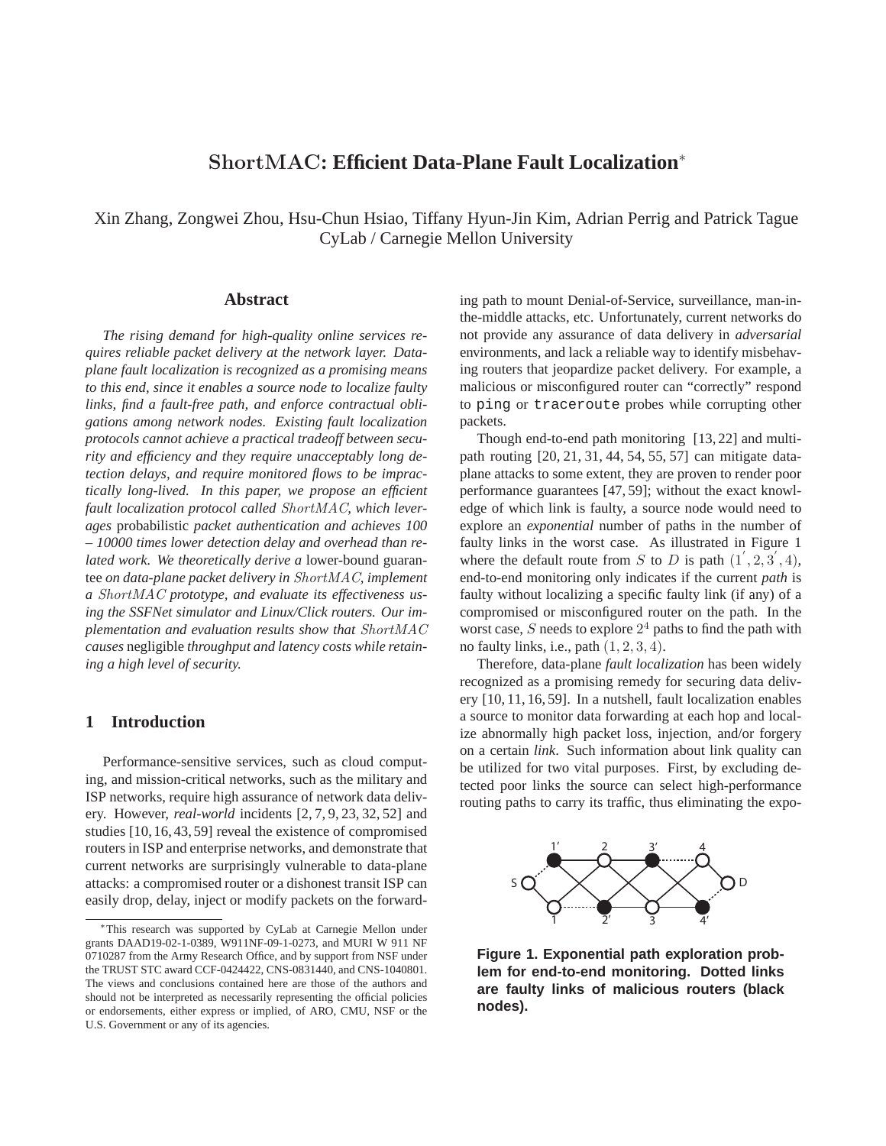# ShortMAC**: Efficient Data-Plane Fault Localization**<sup>∗</sup>

Xin Zhang, Zongwei Zhou, Hsu-Chun Hsiao, Tiffany Hyun-Jin Kim, Adrian Perrig and Patrick Tague CyLab / Carnegie Mellon University

### **Abstract**

*The rising demand for high-quality online services requires reliable packet delivery at the network layer. Dataplane fault localization is recognized as a promising means to this end, since it enables a source node to localize faulty links, find a fault-free path, and enforce contractual obligations among network nodes. Existing fault localization protocols cannot achieve a practical tradeoff between security and efficiency and they require unacceptably long detection delays, and require monitored flows to be impractically long-lived. In this paper, we propose an efficient fault localization protocol called* ShortMAC*, which leverages* probabilistic *packet authentication and achieves 100 – 10000 times lower detection delay and overhead than related work. We theoretically derive a* lower-bound guarantee *on data-plane packet delivery in* ShortMAC*, implement a* ShortMAC *prototype, and evaluate its effectiveness using the SSFNet simulator and Linux/Click routers. Our implementation and evaluation results show that* ShortMAC *causes* negligible *throughput and latency costs while retaining a high level of security.*

### **1 Introduction**

Performance-sensitive services, such as cloud computing, and mission-critical networks, such as the military and ISP networks, require high assurance of network data delivery. However, *real-world* incidents [2, 7, 9, 23, 32, 52] and studies [10, 16, 43, 59] reveal the existence of compromised routers in ISP and enterprise networks, and demonstrate that current networks are surprisingly vulnerable to data-plane attacks: a compromised router or a dishonest transit ISP can easily drop, delay, inject or modify packets on the forwarding path to mount Denial-of-Service, surveillance, man-inthe-middle attacks, etc. Unfortunately, current networks do not provide any assurance of data delivery in *adversarial* environments, and lack a reliable way to identify misbehaving routers that jeopardize packet delivery. For example, a malicious or misconfigured router can "correctly" respond to ping or traceroute probes while corrupting other packets.

Though end-to-end path monitoring [13, 22] and multipath routing [20, 21, 31, 44, 54, 55, 57] can mitigate dataplane attacks to some extent, they are proven to render poor performance guarantees [47, 59]; without the exact knowledge of which link is faulty, a source node would need to explore an *exponential* number of paths in the number of faulty links in the worst case. As illustrated in Figure 1 where the default route from S to D is path  $(1', 2, 3', 4)$ , end-to-end monitoring only indicates if the current *path* is faulty without localizing a specific faulty link (if any) of a compromised or misconfigured router on the path. In the worst case,  $S$  needs to explore  $2<sup>4</sup>$  paths to find the path with no faulty links, i.e., path  $(1, 2, 3, 4)$ .

Therefore, data-plane *fault localization* has been widely recognized as a promising remedy for securing data delivery [10, 11, 16, 59]. In a nutshell, fault localization enables a source to monitor data forwarding at each hop and localize abnormally high packet loss, injection, and/or forgery on a certain *link*. Such information about link quality can be utilized for two vital purposes. First, by excluding detected poor links the source can select high-performance routing paths to carry its traffic, thus eliminating the expo-



**Figure 1. Exponential path exploration problem for end-to-end monitoring. Dotted links are faulty links of malicious routers (black nodes).**

<sup>∗</sup>This research was supported by CyLab at Carnegie Mellon under grants DAAD19-02-1-0389, W911NF-09-1-0273, and MURI W 911 NF 0710287 from the Army Research Office, and by support from NSF under the TRUST STC award CCF-0424422, CNS-0831440, and CNS-1040801. The views and conclusions contained here are those of the authors and should not be interpreted as necessarily representing the official policies or endorsements, either express or implied, of ARO, CMU, NSF or the U.S. Government or any of its agencies.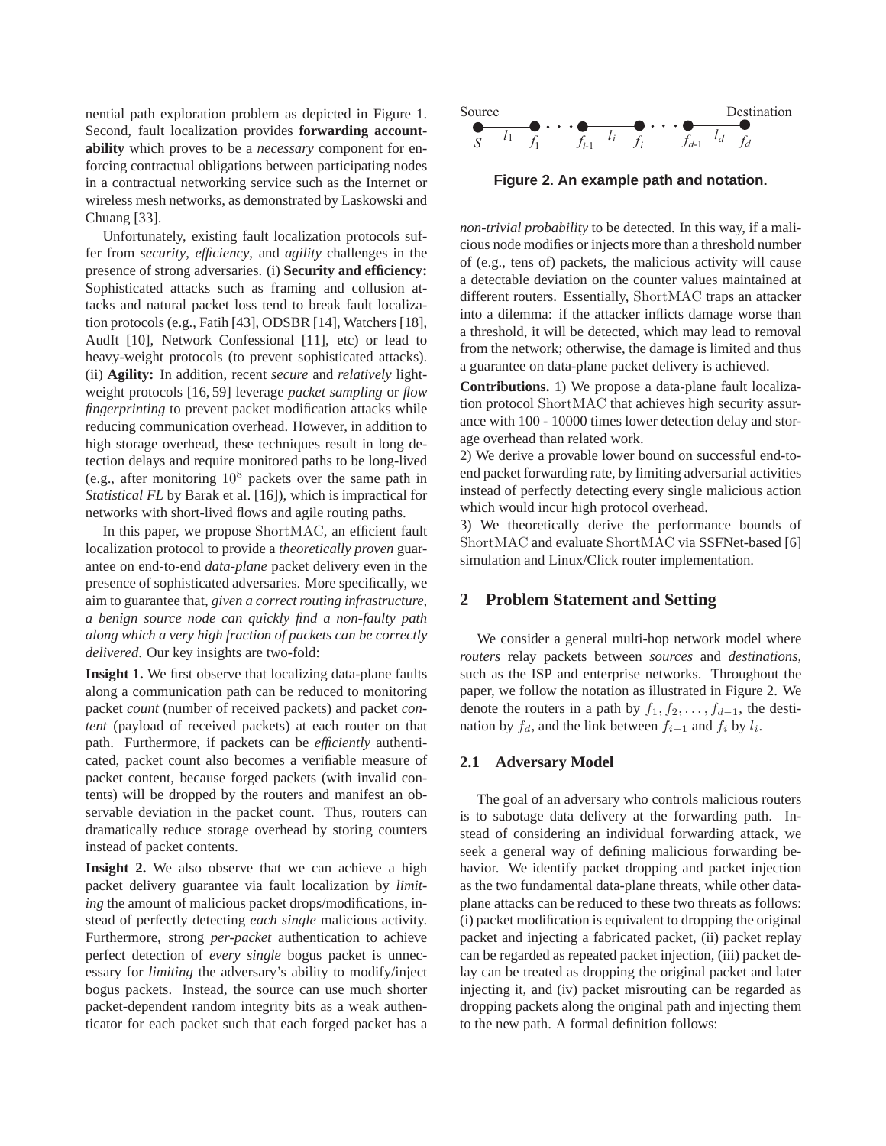nential path exploration problem as depicted in Figure 1. Second, fault localization provides **forwarding accountability** which proves to be a *necessary* component for enforcing contractual obligations between participating nodes in a contractual networking service such as the Internet or wireless mesh networks, as demonstrated by Laskowski and Chuang [33].

Unfortunately, existing fault localization protocols suffer from *security*, *efficiency*, and *agility* challenges in the presence of strong adversaries. (i) **Security and efficiency:** Sophisticated attacks such as framing and collusion attacks and natural packet loss tend to break fault localization protocols (e.g., Fatih [43], ODSBR [14], Watchers [18], AudIt [10], Network Confessional [11], etc) or lead to heavy-weight protocols (to prevent sophisticated attacks). (ii) **Agility:** In addition, recent *secure* and *relatively* lightweight protocols [16, 59] leverage *packet sampling* or *flow fingerprinting* to prevent packet modification attacks while reducing communication overhead. However, in addition to high storage overhead, these techniques result in long detection delays and require monitored paths to be long-lived (e.g., after monitoring  $10^8$  packets over the same path in *Statistical FL* by Barak et al. [16]), which is impractical for networks with short-lived flows and agile routing paths.

In this paper, we propose ShortMAC, an efficient fault localization protocol to provide a *theoretically proven* guarantee on end-to-end *data-plane* packet delivery even in the presence of sophisticated adversaries. More specifically, we aim to guarantee that, *given a correct routing infrastructure, a benign source node can quickly find a non-faulty path along which a very high fraction of packets can be correctly delivered*. Our key insights are two-fold:

**Insight 1.** We first observe that localizing data-plane faults along a communication path can be reduced to monitoring packet *count* (number of received packets) and packet *content* (payload of received packets) at each router on that path. Furthermore, if packets can be *efficiently* authenticated, packet count also becomes a verifiable measure of packet content, because forged packets (with invalid contents) will be dropped by the routers and manifest an observable deviation in the packet count. Thus, routers can dramatically reduce storage overhead by storing counters instead of packet contents.

**Insight 2.** We also observe that we can achieve a high packet delivery guarantee via fault localization by *limiting* the amount of malicious packet drops/modifications, instead of perfectly detecting *each single* malicious activity. Furthermore, strong *per-packet* authentication to achieve perfect detection of *every single* bogus packet is unnecessary for *limiting* the adversary's ability to modify/inject bogus packets. Instead, the source can use much shorter packet-dependent random integrity bits as a weak authenticator for each packet such that each forged packet has a



**Figure 2. An example path and notation.**

*non-trivial probability* to be detected. In this way, if a malicious node modifies or injects more than a threshold number of (e.g., tens of) packets, the malicious activity will cause a detectable deviation on the counter values maintained at different routers. Essentially, ShortMAC traps an attacker into a dilemma: if the attacker inflicts damage worse than a threshold, it will be detected, which may lead to removal from the network; otherwise, the damage is limited and thus a guarantee on data-plane packet delivery is achieved.

**Contributions.** 1) We propose a data-plane fault localization protocol ShortMAC that achieves high security assurance with 100 - 10000 times lower detection delay and storage overhead than related work.

2) We derive a provable lower bound on successful end-toend packet forwarding rate, by limiting adversarial activities instead of perfectly detecting every single malicious action which would incur high protocol overhead.

3) We theoretically derive the performance bounds of ShortMAC and evaluate ShortMAC via SSFNet-based [6] simulation and Linux/Click router implementation.

# **2 Problem Statement and Setting**

We consider a general multi-hop network model where *routers* relay packets between *sources* and *destinations*, such as the ISP and enterprise networks. Throughout the paper, we follow the notation as illustrated in Figure 2. We denote the routers in a path by  $f_1, f_2, \ldots, f_{d-1}$ , the destination by  $f_d$ , and the link between  $f_{i-1}$  and  $f_i$  by  $l_i$ .

# **2.1 Adversary Model**

The goal of an adversary who controls malicious routers is to sabotage data delivery at the forwarding path. Instead of considering an individual forwarding attack, we seek a general way of defining malicious forwarding behavior. We identify packet dropping and packet injection as the two fundamental data-plane threats, while other dataplane attacks can be reduced to these two threats as follows: (i) packet modification is equivalent to dropping the original packet and injecting a fabricated packet, (ii) packet replay can be regarded as repeated packet injection, (iii) packet delay can be treated as dropping the original packet and later injecting it, and (iv) packet misrouting can be regarded as dropping packets along the original path and injecting them to the new path. A formal definition follows: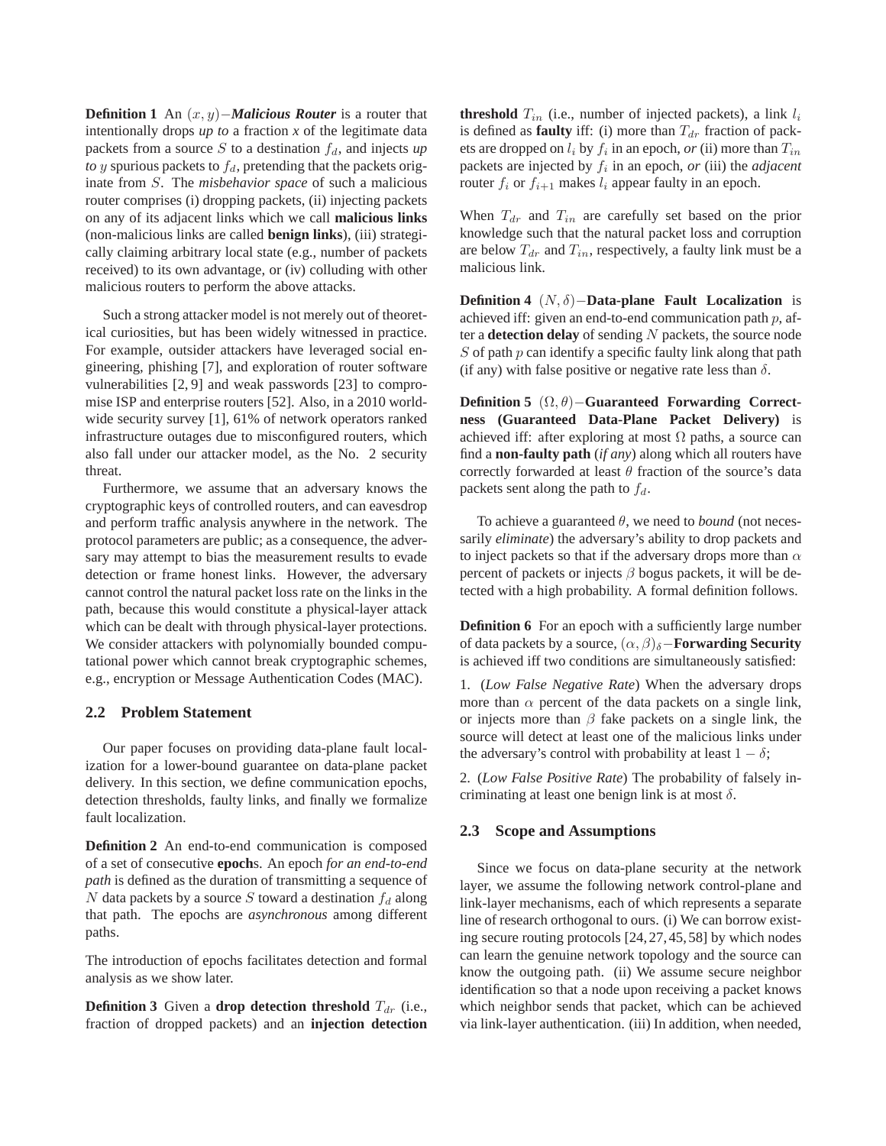**Definition 1** An  $(x, y)$ –*Malicious Router* is a router that intentionally drops  $up$  to a fraction  $x$  of the legitimate data packets from a source S to a destination  $f_d$ , and injects  $up$ *to* y spurious packets to  $f_d$ , pretending that the packets originate from S. The *misbehavior space* of such a malicious router comprises (i) dropping packets, (ii) injecting packets on any of its adjacent links which we call **malicious links** (non-malicious links are called **benign links**), (iii) strategically claiming arbitrary local state (e.g., number of packets received) to its own advantage, or (iv) colluding with other malicious routers to perform the above attacks.

Such a strong attacker model is not merely out of theoretical curiosities, but has been widely witnessed in practice. For example, outsider attackers have leveraged social engineering, phishing [7], and exploration of router software vulnerabilities [2, 9] and weak passwords [23] to compromise ISP and enterprise routers [52]. Also, in a 2010 worldwide security survey [1], 61% of network operators ranked infrastructure outages due to misconfigured routers, which also fall under our attacker model, as the No. 2 security threat.

Furthermore, we assume that an adversary knows the cryptographic keys of controlled routers, and can eavesdrop and perform traffic analysis anywhere in the network. The protocol parameters are public; as a consequence, the adversary may attempt to bias the measurement results to evade detection or frame honest links. However, the adversary cannot control the natural packet loss rate on the links in the path, because this would constitute a physical-layer attack which can be dealt with through physical-layer protections. We consider attackers with polynomially bounded computational power which cannot break cryptographic schemes, e.g., encryption or Message Authentication Codes (MAC).

### **2.2 Problem Statement**

Our paper focuses on providing data-plane fault localization for a lower-bound guarantee on data-plane packet delivery. In this section, we define communication epochs, detection thresholds, faulty links, and finally we formalize fault localization.

**Definition 2** An end-to-end communication is composed of a set of consecutive **epoch**s. An epoch *for an end-to-end path* is defined as the duration of transmitting a sequence of N data packets by a source S toward a destination  $f_d$  along that path. The epochs are *asynchronous* among different paths.

The introduction of epochs facilitates detection and formal analysis as we show later.

**Definition 3** Given a **drop detection threshold**  $T_{dr}$  (i.e., fraction of dropped packets) and an **injection detection** **threshold**  $T_{in}$  (i.e., number of injected packets), a link  $l_i$ is defined as **faulty** iff: (i) more than  $T_{dr}$  fraction of packets are dropped on  $l_i$  by  $f_i$  in an epoch, *or* (ii) more than  $T_{in}$ packets are injected by  $f_i$  in an epoch,  $or$  (iii) the *adjacent* router  $f_i$  or  $f_{i+1}$  makes  $l_i$  appear faulty in an epoch.

When  $T_{dr}$  and  $T_{in}$  are carefully set based on the prior knowledge such that the natural packet loss and corruption are below  $T_{dr}$  and  $T_{in}$ , respectively, a faulty link must be a malicious link.

**Definition 4** (N, δ)−**Data-plane Fault Localization** is achieved iff: given an end-to-end communication path  $p$ , after a **detection delay** of sending N packets, the source node  $S$  of path  $p$  can identify a specific faulty link along that path (if any) with false positive or negative rate less than  $\delta$ .

**Definition 5** (Ω, θ)−**Guaranteed Forwarding Correctness (Guaranteed Data-Plane Packet Delivery)** is achieved iff: after exploring at most  $\Omega$  paths, a source can find a **non-faulty path** (*if any*) along which all routers have correctly forwarded at least  $\theta$  fraction of the source's data packets sent along the path to  $f_d$ .

To achieve a guaranteed  $\theta$ , we need to *bound* (not necessarily *eliminate*) the adversary's ability to drop packets and to inject packets so that if the adversary drops more than  $\alpha$ percent of packets or injects  $\beta$  bogus packets, it will be detected with a high probability. A formal definition follows.

**Definition 6** For an epoch with a sufficiently large number of data packets by a source,  $(\alpha, \beta)_{\delta}$ **-Forwarding Security** is achieved iff two conditions are simultaneously satisfied:

1. (*Low False Negative Rate*) When the adversary drops more than  $\alpha$  percent of the data packets on a single link, or injects more than  $\beta$  fake packets on a single link, the source will detect at least one of the malicious links under the adversary's control with probability at least  $1 - \delta$ ;

2. (*Low False Positive Rate*) The probability of falsely incriminating at least one benign link is at most  $\delta$ .

### **2.3 Scope and Assumptions**

Since we focus on data-plane security at the network layer, we assume the following network control-plane and link-layer mechanisms, each of which represents a separate line of research orthogonal to ours. (i) We can borrow existing secure routing protocols [24,27,45,58] by which nodes can learn the genuine network topology and the source can know the outgoing path. (ii) We assume secure neighbor identification so that a node upon receiving a packet knows which neighbor sends that packet, which can be achieved via link-layer authentication. (iii) In addition, when needed,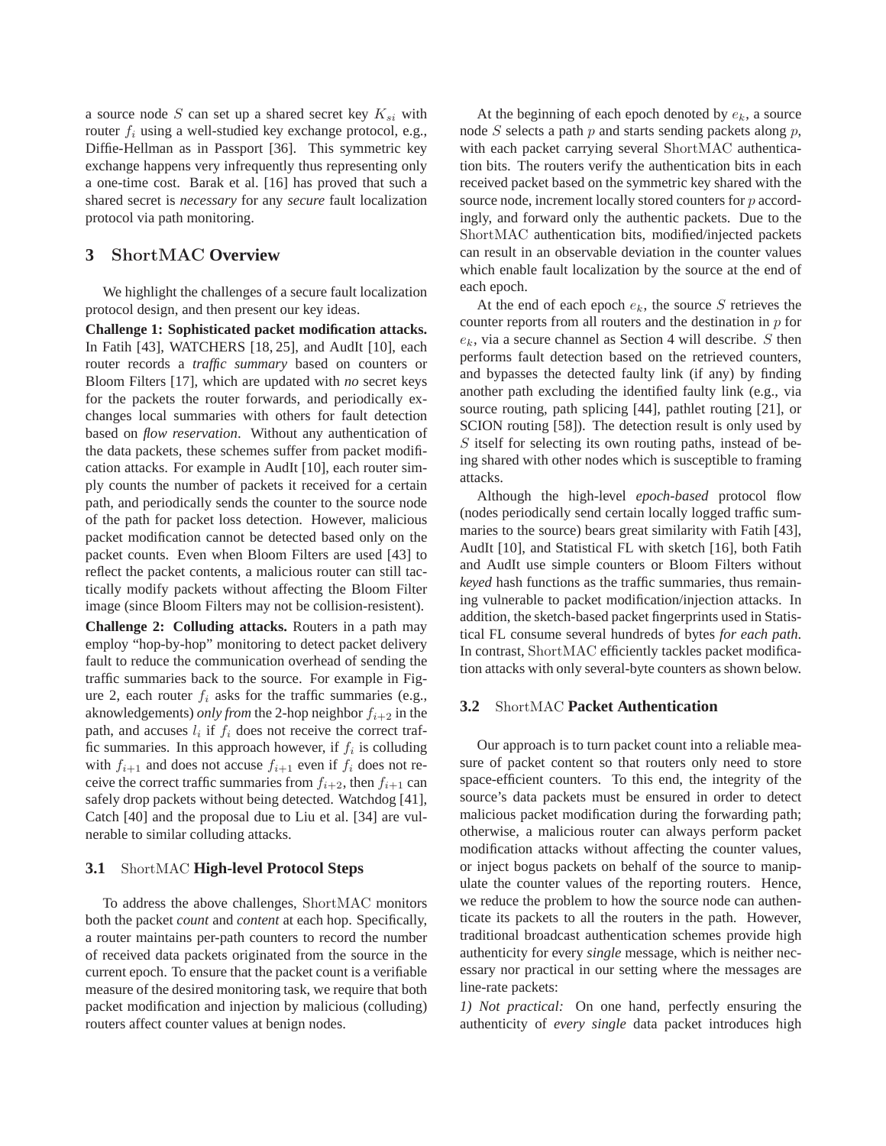a source node S can set up a shared secret key  $K_{si}$  with router  $f_i$  using a well-studied key exchange protocol, e.g., Diffie-Hellman as in Passport [36]. This symmetric key exchange happens very infrequently thus representing only a one-time cost. Barak et al. [16] has proved that such a shared secret is *necessary* for any *secure* fault localization protocol via path monitoring.

### **3** ShortMAC **Overview**

We highlight the challenges of a secure fault localization protocol design, and then present our key ideas.

**Challenge 1: Sophisticated packet modification attacks.** In Fatih [43], WATCHERS [18, 25], and AudIt [10], each router records a *traffic summary* based on counters or Bloom Filters [17], which are updated with *no* secret keys for the packets the router forwards, and periodically exchanges local summaries with others for fault detection based on *flow reservation*. Without any authentication of the data packets, these schemes suffer from packet modification attacks. For example in AudIt [10], each router simply counts the number of packets it received for a certain path, and periodically sends the counter to the source node of the path for packet loss detection. However, malicious packet modification cannot be detected based only on the packet counts. Even when Bloom Filters are used [43] to reflect the packet contents, a malicious router can still tactically modify packets without affecting the Bloom Filter image (since Bloom Filters may not be collision-resistent).

**Challenge 2: Colluding attacks.** Routers in a path may employ "hop-by-hop" monitoring to detect packet delivery fault to reduce the communication overhead of sending the traffic summaries back to the source. For example in Figure 2, each router  $f_i$  asks for the traffic summaries (e.g., aknowledgements) *only from* the 2-hop neighbor  $f_{i+2}$  in the path, and accuses  $l_i$  if  $f_i$  does not receive the correct traffic summaries. In this approach however, if  $f_i$  is colluding with  $f_{i+1}$  and does not accuse  $f_{i+1}$  even if  $f_i$  does not receive the correct traffic summaries from  $f_{i+2}$ , then  $f_{i+1}$  can safely drop packets without being detected. Watchdog [41], Catch [40] and the proposal due to Liu et al. [34] are vulnerable to similar colluding attacks.

### **3.1** ShortMAC **High-level Protocol Steps**

To address the above challenges, ShortMAC monitors both the packet *count* and *content* at each hop. Specifically, a router maintains per-path counters to record the number of received data packets originated from the source in the current epoch. To ensure that the packet count is a verifiable measure of the desired monitoring task, we require that both packet modification and injection by malicious (colluding) routers affect counter values at benign nodes.

At the beginning of each epoch denoted by  $e_k$ , a source node  $S$  selects a path  $p$  and starts sending packets along  $p$ , with each packet carrying several ShortMAC authentication bits. The routers verify the authentication bits in each received packet based on the symmetric key shared with the source node, increment locally stored counters for p accordingly, and forward only the authentic packets. Due to the ShortMAC authentication bits, modified/injected packets can result in an observable deviation in the counter values which enable fault localization by the source at the end of each epoch.

At the end of each epoch  $e_k$ , the source S retrieves the counter reports from all routers and the destination in  $p$  for  $e_k$ , via a secure channel as Section 4 will describe. S then performs fault detection based on the retrieved counters, and bypasses the detected faulty link (if any) by finding another path excluding the identified faulty link (e.g., via source routing, path splicing [44], pathlet routing [21], or SCION routing [58]). The detection result is only used by S itself for selecting its own routing paths, instead of being shared with other nodes which is susceptible to framing attacks.

Although the high-level *epoch-based* protocol flow (nodes periodically send certain locally logged traffic summaries to the source) bears great similarity with Fatih [43], AudIt [10], and Statistical FL with sketch [16], both Fatih and AudIt use simple counters or Bloom Filters without *keyed* hash functions as the traffic summaries, thus remaining vulnerable to packet modification/injection attacks. In addition, the sketch-based packet fingerprints used in Statistical FL consume several hundreds of bytes *for each path*. In contrast, ShortMAC efficiently tackles packet modification attacks with only several-byte counters as shown below.

### **3.2** ShortMAC **Packet Authentication**

Our approach is to turn packet count into a reliable measure of packet content so that routers only need to store space-efficient counters. To this end, the integrity of the source's data packets must be ensured in order to detect malicious packet modification during the forwarding path; otherwise, a malicious router can always perform packet modification attacks without affecting the counter values, or inject bogus packets on behalf of the source to manipulate the counter values of the reporting routers. Hence, we reduce the problem to how the source node can authenticate its packets to all the routers in the path. However, traditional broadcast authentication schemes provide high authenticity for every *single* message, which is neither necessary nor practical in our setting where the messages are line-rate packets:

*1) Not practical:* On one hand, perfectly ensuring the authenticity of *every single* data packet introduces high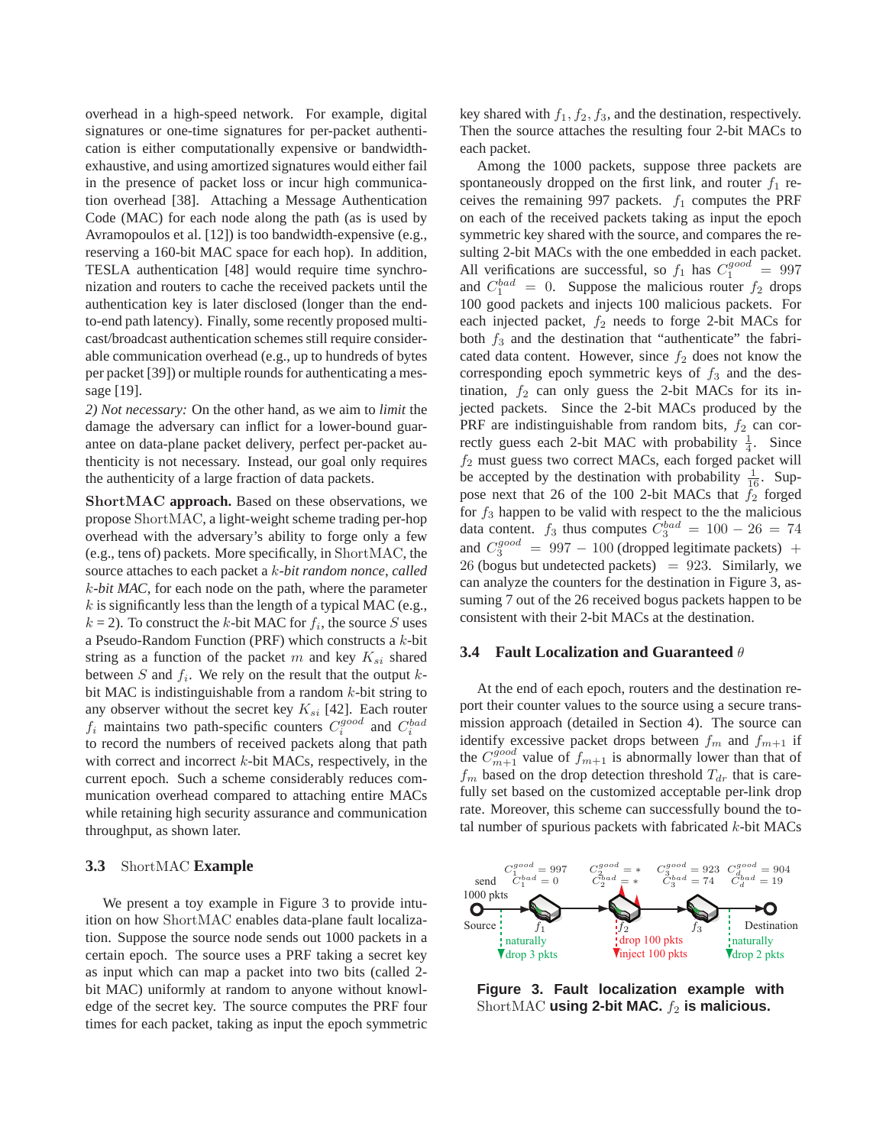overhead in a high-speed network. For example, digital signatures or one-time signatures for per-packet authentication is either computationally expensive or bandwidthexhaustive, and using amortized signatures would either fail in the presence of packet loss or incur high communication overhead [38]. Attaching a Message Authentication Code (MAC) for each node along the path (as is used by Avramopoulos et al. [12]) is too bandwidth-expensive (e.g., reserving a 160-bit MAC space for each hop). In addition, TESLA authentication [48] would require time synchronization and routers to cache the received packets until the authentication key is later disclosed (longer than the endto-end path latency). Finally, some recently proposed multicast/broadcast authentication schemes still require considerable communication overhead (e.g., up to hundreds of bytes per packet [39]) or multiple rounds for authenticating a message [19].

*2) Not necessary:* On the other hand, as we aim to *limit* the damage the adversary can inflict for a lower-bound guarantee on data-plane packet delivery, perfect per-packet authenticity is not necessary. Instead, our goal only requires the authenticity of a large fraction of data packets.

ShortMAC **approach.** Based on these observations, we propose ShortMAC, a light-weight scheme trading per-hop overhead with the adversary's ability to forge only a few (e.g., tens of) packets. More specifically, in ShortMAC, the source attaches to each packet a k*-bit random nonce*, *called* k*-bit MAC*, for each node on the path, where the parameter  $k$  is significantly less than the length of a typical MAC (e.g.,  $k = 2$ ). To construct the k-bit MAC for  $f_i$ , the source S uses a Pseudo-Random Function (PRF) which constructs a  $k$ -bit string as a function of the packet m and key  $K_{si}$  shared between  $S$  and  $f_i$ . We rely on the result that the output  $k$ bit MAC is indistinguishable from a random  $k$ -bit string to any observer without the secret key  $K_{si}$  [42]. Each router  $f_i$  maintains two path-specific counters  $C_i^{good}$  and  $C_i^{bad}$ to record the numbers of received packets along that path with correct and incorrect  $k$ -bit MACs, respectively, in the current epoch. Such a scheme considerably reduces communication overhead compared to attaching entire MACs while retaining high security assurance and communication throughput, as shown later.

### **3.3** ShortMAC **Example**

We present a toy example in Figure 3 to provide intuition on how ShortMAC enables data-plane fault localization. Suppose the source node sends out 1000 packets in a certain epoch. The source uses a PRF taking a secret key as input which can map a packet into two bits (called 2 bit MAC) uniformly at random to anyone without knowledge of the secret key. The source computes the PRF four times for each packet, taking as input the epoch symmetric key shared with  $f_1, f_2, f_3$ , and the destination, respectively. Then the source attaches the resulting four 2-bit MACs to each packet.

Among the 1000 packets, suppose three packets are spontaneously dropped on the first link, and router  $f_1$  receives the remaining 997 packets.  $f_1$  computes the PRF on each of the received packets taking as input the epoch symmetric key shared with the source, and compares the resulting 2-bit MACs with the one embedded in each packet. All verifications are successful, so  $f_1$  has  $C_1^{good} = 997$ and  $C_1^{bad} = 0$ . Suppose the malicious router  $f_2$  drops 100 good packets and injects 100 malicious packets. For each injected packet,  $f_2$  needs to forge 2-bit MACs for both  $f_3$  and the destination that "authenticate" the fabricated data content. However, since  $f_2$  does not know the corresponding epoch symmetric keys of  $f_3$  and the destination,  $f_2$  can only guess the 2-bit MACs for its injected packets. Since the 2-bit MACs produced by the PRF are indistinguishable from random bits,  $f_2$  can correctly guess each 2-bit MAC with probability  $\frac{1}{4}$ . Since  $f_2$  must guess two correct MACs, each forged packet will be accepted by the destination with probability  $\frac{1}{16}$ . Suppose next that 26 of the 100 2-bit MACs that  $f_2$  forged for  $f_3$  happen to be valid with respect to the the malicious data content.  $f_3$  thus computes  $C_3^{bad} = 100 - 26 = 74$ and  $C_3^{good} = 997 - 100$  (dropped legitimate packets) + 26 (bogus but undetected packets)  $= 923$ . Similarly, we can analyze the counters for the destination in Figure 3, assuming 7 out of the 26 received bogus packets happen to be consistent with their 2-bit MACs at the destination.

#### **3.4 Fault Localization and Guaranteed** θ

At the end of each epoch, routers and the destination report their counter values to the source using a secure transmission approach (detailed in Section 4). The source can identify excessive packet drops between  $f_m$  and  $f_{m+1}$  if the  $C_{m+1}^{good}$  value of  $f_{m+1}$  is abnormally lower than that of  $f_m$  based on the drop detection threshold  $T_{dr}$  that is carefully set based on the customized acceptable per-link drop rate. Moreover, this scheme can successfully bound the total number of spurious packets with fabricated  $k$ -bit MACs



**Figure 3. Fault localization example with** ShortMAC **using 2-bit MAC.**  $f_2$  is malicious.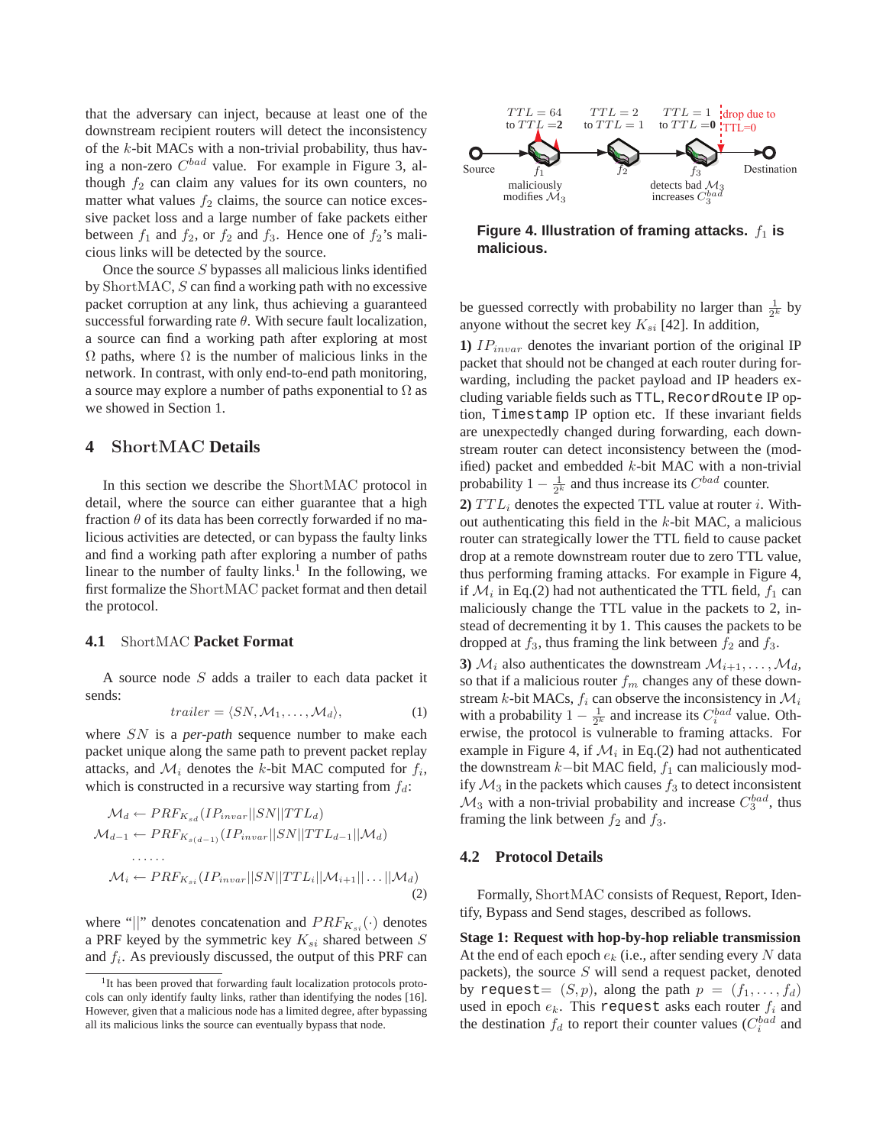that the adversary can inject, because at least one of the downstream recipient routers will detect the inconsistency of the k-bit MACs with a non-trivial probability, thus having a non-zero  $C^{bad}$  value. For example in Figure 3, although  $f_2$  can claim any values for its own counters, no matter what values  $f_2$  claims, the source can notice excessive packet loss and a large number of fake packets either between  $f_1$  and  $f_2$ , or  $f_2$  and  $f_3$ . Hence one of  $f_2$ 's malicious links will be detected by the source.

Once the source  $S$  bypasses all malicious links identified by ShortMAC, S can find a working path with no excessive packet corruption at any link, thus achieving a guaranteed successful forwarding rate  $\theta$ . With secure fault localization, a source can find a working path after exploring at most  $\Omega$  paths, where  $\Omega$  is the number of malicious links in the network. In contrast, with only end-to-end path monitoring, a source may explore a number of paths exponential to  $\Omega$  as we showed in Section 1.

### **4** ShortMAC **Details**

In this section we describe the ShortMAC protocol in detail, where the source can either guarantee that a high fraction  $\theta$  of its data has been correctly forwarded if no malicious activities are detected, or can bypass the faulty links and find a working path after exploring a number of paths linear to the number of faulty links.<sup>1</sup> In the following, we first formalize the ShortMAC packet format and then detail the protocol.

#### **4.1** ShortMAC **Packet Format**

A source node S adds a trailer to each data packet it sends:

$$
trailer = \langle SN, M_1, \dots, M_d \rangle,
$$
 (1)

where SN is a *per-path* sequence number to make each packet unique along the same path to prevent packet replay attacks, and  $\mathcal{M}_i$  denotes the k-bit MAC computed for  $f_i$ , which is constructed in a recursive way starting from  $f_d$ :

$$
\mathcal{M}_d \leftarrow PRF_{K_{sd}}(IP_{invar}||SN||TTL_d)
$$
  
\n
$$
\mathcal{M}_{d-1} \leftarrow PRF_{K_{sd-1}}(IP_{invar}||SN||TTL_{d-1}||\mathcal{M}_d)
$$
  
\n
$$
\dots
$$
  
\n
$$
\mathcal{M}_i \leftarrow PRF_{K_{si}}(IP_{invar}||SN||TTL_i||\mathcal{M}_{i+1}||\dots||\mathcal{M}_d)
$$
  
\n(2)

where "||" denotes concatenation and  $PRF_{K_{st}}(\cdot)$  denotes a PRF keyed by the symmetric key  $K_{si}$  shared between  $S$ and  $f_i$ . As previously discussed, the output of this PRF can



Figure 4. Illustration of framing attacks.  $f_1$  is **malicious.**

be guessed correctly with probability no larger than  $\frac{1}{2^k}$  by anyone without the secret key  $K_{si}$  [42]. In addition,

**1)**  $IP_{invar}$  denotes the invariant portion of the original IP packet that should not be changed at each router during forwarding, including the packet payload and IP headers excluding variable fields such as TTL, RecordRoute IP option, Timestamp IP option etc. If these invariant fields are unexpectedly changed during forwarding, each downstream router can detect inconsistency between the (modified) packet and embedded  $k$ -bit MAC with a non-trivial probability  $1 - \frac{1}{2^k}$  and thus increase its  $C^{bad}$  counter.

**2)**  $TTL_i$  denotes the expected TTL value at router i. Without authenticating this field in the  $k$ -bit MAC, a malicious router can strategically lower the TTL field to cause packet drop at a remote downstream router due to zero TTL value, thus performing framing attacks. For example in Figure 4, if  $\mathcal{M}_i$  in Eq.(2) had not authenticated the TTL field,  $f_1$  can maliciously change the TTL value in the packets to 2, instead of decrementing it by 1. This causes the packets to be dropped at  $f_3$ , thus framing the link between  $f_2$  and  $f_3$ .

**3**)  $\mathcal{M}_i$  also authenticates the downstream  $\mathcal{M}_{i+1}, \dots, \mathcal{M}_d$ , so that if a malicious router  $f_m$  changes any of these downstream k-bit MACs,  $f_i$  can observe the inconsistency in  $\mathcal{M}_i$ with a probability  $1 - \frac{1}{2^k}$  and increase its  $C_i^{bad}$  value. Otherwise, the protocol is vulnerable to framing attacks. For example in Figure 4, if  $\mathcal{M}_i$  in Eq.(2) had not authenticated the downstream  $k$ −bit MAC field,  $f_1$  can maliciously modify  $\mathcal{M}_3$  in the packets which causes  $f_3$  to detect inconsistent  $\mathcal{M}_3$  with a non-trivial probability and increase  $C_3^{bad}$ , thus framing the link between  $f_2$  and  $f_3$ .

#### **4.2 Protocol Details**

Formally, ShortMAC consists of Request, Report, Identify, Bypass and Send stages, described as follows.

**Stage 1: Request with hop-by-hop reliable transmission** At the end of each epoch  $e_k$  (i.e., after sending every N data packets), the source  $S$  will send a request packet, denoted by request=  $(S, p)$ , along the path  $p = (f_1, \ldots, f_d)$ used in epoch  $e_k$ . This request asks each router  $f_i$  and the destination  $f_d$  to report their counter values  $(C_i^{bad}$  and

<sup>&</sup>lt;sup>1</sup>It has been proved that forwarding fault localization protocols protocols can only identify faulty links, rather than identifying the nodes [16]. However, given that a malicious node has a limited degree, after bypassing all its malicious links the source can eventually bypass that node.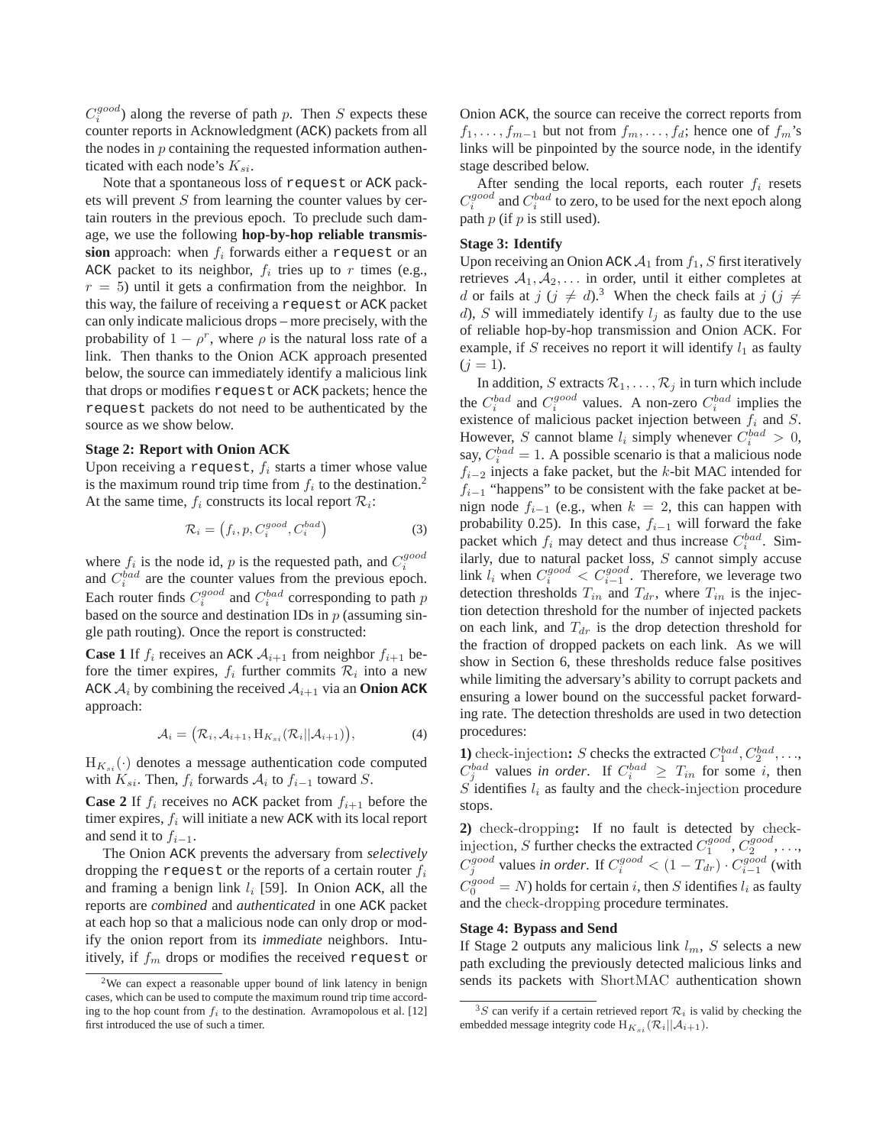$C_i^{good}$ ) along the reverse of path p. Then S expects these counter reports in Acknowledgment (ACK) packets from all the nodes in  $p$  containing the requested information authenticated with each node's  $K_{si}$ .

Note that a spontaneous loss of request or ACK packets will prevent S from learning the counter values by certain routers in the previous epoch. To preclude such damage, we use the following **hop-by-hop reliable transmis** $sion$  approach: when  $f_i$  forwards either a request or an ACK packet to its neighbor,  $f_i$  tries up to r times (e.g.,  $r = 5$ ) until it gets a confirmation from the neighbor. In this way, the failure of receiving a request or ACK packet can only indicate malicious drops – more precisely, with the probability of  $1 - \rho^r$ , where  $\rho$  is the natural loss rate of a link. Then thanks to the Onion ACK approach presented below, the source can immediately identify a malicious link that drops or modifies request or ACK packets; hence the request packets do not need to be authenticated by the source as we show below.

#### **Stage 2: Report with Onion ACK**

Upon receiving a request,  $f_i$  starts a timer whose value is the maximum round trip time from  $f_i$  to the destination.<sup>2</sup> At the same time,  $f_i$  constructs its local report  $\mathcal{R}_i$ :

$$
\mathcal{R}_i = \left(f_i, p, C_i^{good}, C_i^{bad}\right) \tag{3}
$$

where  $f_i$  is the node id, p is the requested path, and  $C_i^{good}$ and  $C_i^{bad}$  are the counter values from the previous epoch. Each router finds  $C_i^{good}$  and  $C_i^{bad}$  corresponding to path  $p$ based on the source and destination IDs in  $p$  (assuming single path routing). Once the report is constructed:

**Case 1** If  $f_i$  receives an ACK  $A_{i+1}$  from neighbor  $f_{i+1}$  before the timer expires,  $f_i$  further commits  $\mathcal{R}_i$  into a new ACK  $A_i$  by combining the received  $A_{i+1}$  via an **Onion ACK** approach:

$$
\mathcal{A}_i = (\mathcal{R}_i, \mathcal{A}_{i+1}, \mathcal{H}_{K_{si}}(\mathcal{R}_i||\mathcal{A}_{i+1})),
$$
\n(4)

 $H_{K_{s,i}}(\cdot)$  denotes a message authentication code computed with  $K_{si}$ . Then,  $f_i$  forwards  $A_i$  to  $f_{i-1}$  toward  $S$ .

**Case 2** If  $f_i$  receives no ACK packet from  $f_{i+1}$  before the timer expires,  $f_i$  will initiate a new ACK with its local report and send it to  $f_{i-1}$ .

The Onion ACK prevents the adversary from *selectively* dropping the request or the reports of a certain router  $f_i$ and framing a benign link  $l_i$  [59]. In Onion ACK, all the reports are *combined* and *authenticated* in one ACK packet at each hop so that a malicious node can only drop or modify the onion report from its *immediate* neighbors. Intuitively, if  $f_m$  drops or modifies the received request or Onion ACK, the source can receive the correct reports from  $f_1, \ldots, f_{m-1}$  but not from  $f_m, \ldots, f_d$ ; hence one of  $f_m$ 's links will be pinpointed by the source node, in the identify stage described below.

After sending the local reports, each router  $f_i$  resets  $C_i^{good}$  and  $C_i^{bad}$  to zero, to be used for the next epoch along path  $p$  (if  $p$  is still used).

#### **Stage 3: Identify**

Upon receiving an Onion ACK  $A_1$  from  $f_1$ , S first iteratively retrieves  $A_1, A_2, \ldots$  in order, until it either completes at d or fails at  $j$  ( $j \neq d$ ).<sup>3</sup> When the check fails at  $j$  ( $j \neq$ d), S will immediately identify  $l_j$  as faulty due to the use of reliable hop-by-hop transmission and Onion ACK. For example, if S receives no report it will identify  $l_1$  as faulty  $(j = 1)$ .

In addition, S extracts  $\mathcal{R}_1, \ldots, \mathcal{R}_i$  in turn which include the  $C_i^{bad}$  and  $C_i^{good}$  values. A non-zero  $C_i^{bad}$  implies the existence of malicious packet injection between  $f_i$  and  $S$ . However, S cannot blame  $l_i$  simply whenever  $C_i^{bad} > 0$ , say,  $C_i^{bad} = 1$ . A possible scenario is that a malicious node  $f_{i-2}$  injects a fake packet, but the k-bit MAC intended for  $f_{i-1}$  "happens" to be consistent with the fake packet at benign node  $f_{i-1}$  (e.g., when  $k = 2$ , this can happen with probability 0.25). In this case,  $f_{i-1}$  will forward the fake packet which  $f_i$  may detect and thus increase  $C_i^{bad}$ . Similarly, due to natural packet loss,  $S$  cannot simply accuse link  $l_i$  when  $C_i^{good} < C_{i-1}^{good}$ . Therefore, we leverage two detection thresholds  $T_{in}$  and  $T_{dr}$ , where  $T_{in}$  is the injection detection threshold for the number of injected packets on each link, and  $T_{dr}$  is the drop detection threshold for the fraction of dropped packets on each link. As we will show in Section 6, these thresholds reduce false positives while limiting the adversary's ability to corrupt packets and ensuring a lower bound on the successful packet forwarding rate. The detection thresholds are used in two detection procedures:

**1**) check-injection: *S* checks the extracted  $C_1^{bad}, C_2^{bad}, \ldots$ ,  $C_j^{bad}$  values *in order*. If  $C_i^{bad} \geq T_{in}$  for some *i*, then  $S$  identifies  $l_i$  as faulty and the check-injection procedure stops.

**2)** check-dropping**:** If no fault is detected by checkinjection, S further checks the extracted  $C_1^{good}$ ,  $C_2^{good}$ , ...,  $C_j^{good}$  values *in order*. If  $C_i^{good} < (1 - T_{dr}) \cdot C_{i-1}^{good}$  (with  $C_0^{good} = N$ ) holds for certain i, then S identifies  $l_i$  as faulty and the check-dropping procedure terminates.

### **Stage 4: Bypass and Send**

If Stage 2 outputs any malicious link  $l_m$ , S selects a new path excluding the previously detected malicious links and sends its packets with ShortMAC authentication shown

<sup>2</sup>We can expect a reasonable upper bound of link latency in benign cases, which can be used to compute the maximum round trip time according to the hop count from  $f_i$  to the destination. Avramopolous et al. [12] first introduced the use of such a timer.

<sup>&</sup>lt;sup>3</sup>S can verify if a certain retrieved report  $\mathcal{R}_i$  is valid by checking the embedded message integrity code  $H_{K_{si}}(\mathcal{R}_i||\mathcal{A}_{i+1}).$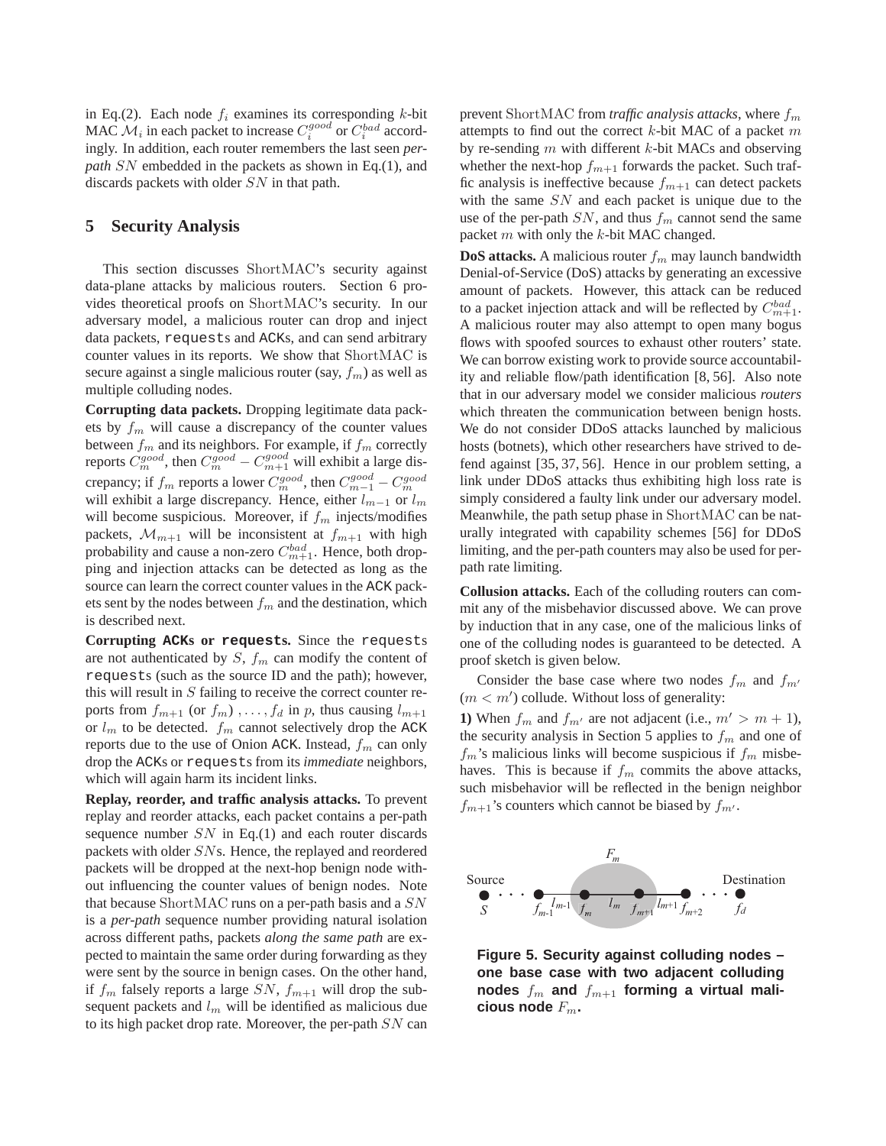in Eq.(2). Each node  $f_i$  examines its corresponding k-bit MAC  $\mathcal{M}_i$  in each packet to increase  $C_i^{good}$  or  $C_i^{bad}$  accordingly. In addition, each router remembers the last seen *perpath* SN embedded in the packets as shown in Eq.(1), and discards packets with older SN in that path.

# **5 Security Analysis**

This section discusses ShortMAC's security against data-plane attacks by malicious routers. Section 6 provides theoretical proofs on ShortMAC's security. In our adversary model, a malicious router can drop and inject data packets, requests and ACKs, and can send arbitrary counter values in its reports. We show that ShortMAC is secure against a single malicious router (say,  $f_m$ ) as well as multiple colluding nodes.

**Corrupting data packets.** Dropping legitimate data packets by  $f_m$  will cause a discrepancy of the counter values between  $f_m$  and its neighbors. For example, if  $f_m$  correctly reports  $C_{m}^{good}$ , then  $C_{m}^{good} - C_{m+1}^{good}$  will exhibit a large discrepancy; if  $f_m$  reports a lower  $C_m^{good}$ , then  $C_{m-1}^{good} - C_m^{good}$ will exhibit a large discrepancy. Hence, either  $l_{m-1}$  or  $l_m$ will become suspicious. Moreover, if  $f_m$  injects/modifies packets,  $\mathcal{M}_{m+1}$  will be inconsistent at  $f_{m+1}$  with high probability and cause a non-zero  $C_{m+1}^{bad}$ . Hence, both dropping and injection attacks can be detected as long as the source can learn the correct counter values in the ACK packets sent by the nodes between  $f_m$  and the destination, which is described next.

**Corrupting ACKs or requests.** Since the requests are not authenticated by  $S$ ,  $f_m$  can modify the content of requests (such as the source ID and the path); however, this will result in  $S$  failing to receive the correct counter reports from  $f_{m+1}$  (or  $f_m$ ),...,  $f_d$  in p, thus causing  $l_{m+1}$ or  $l_m$  to be detected.  $f_m$  cannot selectively drop the ACK reports due to the use of Onion ACK. Instead,  $f_m$  can only drop the ACKs or requests from its *immediate* neighbors, which will again harm its incident links.

**Replay, reorder, and traffic analysis attacks.** To prevent replay and reorder attacks, each packet contains a per-path sequence number  $SN$  in Eq.(1) and each router discards packets with older SNs. Hence, the replayed and reordered packets will be dropped at the next-hop benign node without influencing the counter values of benign nodes. Note that because ShortMAC runs on a per-path basis and a SN is a *per-path* sequence number providing natural isolation across different paths, packets *along the same path* are expected to maintain the same order during forwarding as they were sent by the source in benign cases. On the other hand, if  $f_m$  falsely reports a large SN,  $f_{m+1}$  will drop the subsequent packets and  $l_m$  will be identified as malicious due to its high packet drop rate. Moreover, the per-path  $SN$  can

prevent ShortMAC from *traffic analysis attacks*, where  $f_m$ attempts to find out the correct  $k$ -bit MAC of a packet  $m$ by re-sending  $m$  with different  $k$ -bit MACs and observing whether the next-hop  $f_{m+1}$  forwards the packet. Such traffic analysis is ineffective because  $f_{m+1}$  can detect packets with the same  $SN$  and each packet is unique due to the use of the per-path  $SN$ , and thus  $f_m$  cannot send the same packet  $m$  with only the  $k$ -bit MAC changed.

**DoS attacks.** A malicious router  $f_m$  may launch bandwidth Denial-of-Service (DoS) attacks by generating an excessive amount of packets. However, this attack can be reduced to a packet injection attack and will be reflected by  $C_{m+1}^{bad}$ . A malicious router may also attempt to open many bogus flows with spoofed sources to exhaust other routers' state. We can borrow existing work to provide source accountability and reliable flow/path identification [8, 56]. Also note that in our adversary model we consider malicious *routers* which threaten the communication between benign hosts. We do not consider DDoS attacks launched by malicious hosts (botnets), which other researchers have strived to defend against [35, 37, 56]. Hence in our problem setting, a link under DDoS attacks thus exhibiting high loss rate is simply considered a faulty link under our adversary model. Meanwhile, the path setup phase in ShortMAC can be naturally integrated with capability schemes [56] for DDoS limiting, and the per-path counters may also be used for perpath rate limiting.

**Collusion attacks.** Each of the colluding routers can commit any of the misbehavior discussed above. We can prove by induction that in any case, one of the malicious links of one of the colluding nodes is guaranteed to be detected. A proof sketch is given below.

Consider the base case where two nodes  $f_m$  and  $f_{m'}$  $(m < m')$  collude. Without loss of generality:

**1)** When  $f_m$  and  $f_{m'}$  are not adjacent (i.e.,  $m' > m + 1$ ), the security analysis in Section 5 applies to  $f_m$  and one of  $f_m$ 's malicious links will become suspicious if  $f_m$  misbehaves. This is because if  $f_m$  commits the above attacks, such misbehavior will be reflected in the benign neighbor  $f_{m+1}$ 's counters which cannot be biased by  $f_{m'}$ .



**Figure 5. Security against colluding nodes – one base case with two adjacent colluding** nodes  $f_m$  and  $f_{m+1}$  forming a virtual mali**cious node** Fm**.**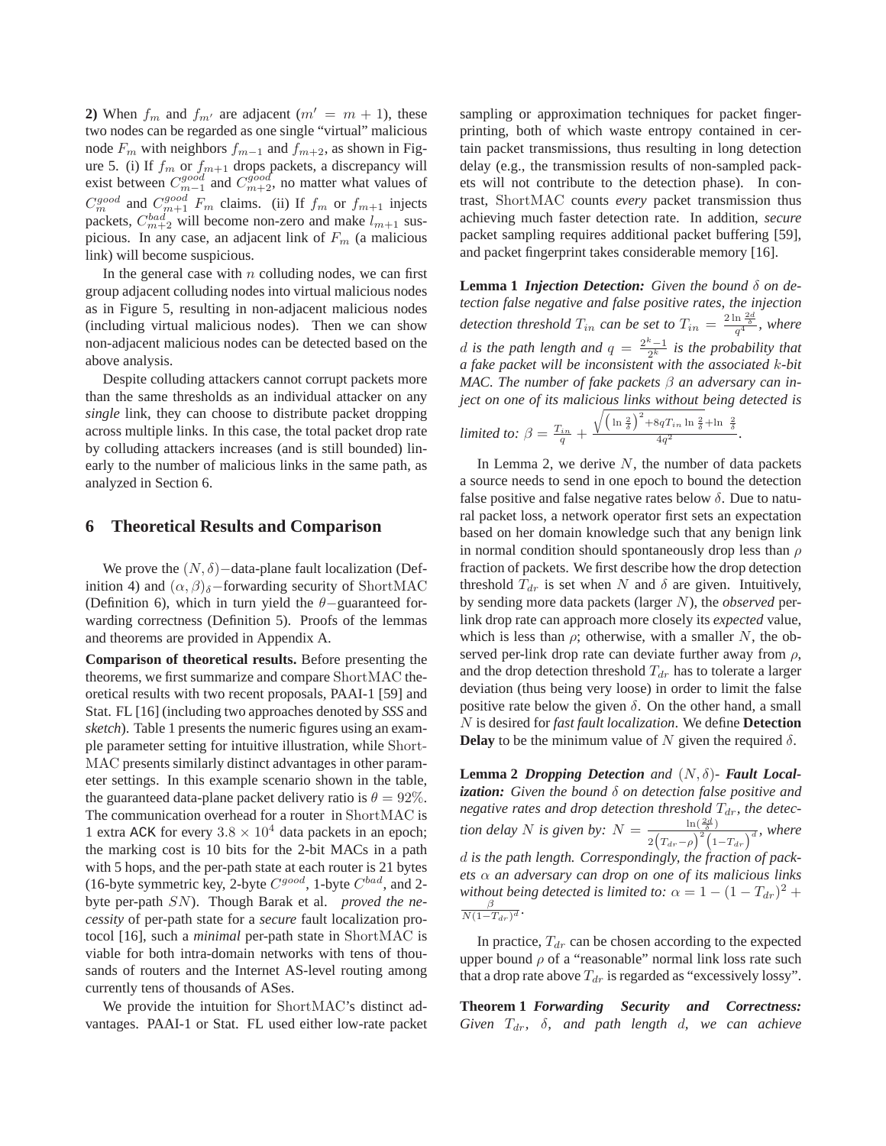**2)** When  $f_m$  and  $f_{m'}$  are adjacent  $(m' = m + 1)$ , these two nodes can be regarded as one single "virtual" malicious node  $F_m$  with neighbors  $f_{m-1}$  and  $f_{m+2}$ , as shown in Figure 5. (i) If  $f_m$  or  $f_{m+1}$  drops packets, a discrepancy will exist between  $C_{m-1}^{good}$  and  $C_{m+2}^{good}$ , no matter what values of  $C_m^{good}$  and  $C_{m+1}^{good}$   $F_m$  claims. (ii) If  $f_m$  or  $f_{m+1}$  injects packets,  $C_{m+2}^{bad}$  will become non-zero and make  $l_{m+1}$  suspicious. In any case, an adjacent link of  $F_m$  (a malicious link) will become suspicious.

In the general case with  $n$  colluding nodes, we can first group adjacent colluding nodes into virtual malicious nodes as in Figure 5, resulting in non-adjacent malicious nodes (including virtual malicious nodes). Then we can show non-adjacent malicious nodes can be detected based on the above analysis.

Despite colluding attackers cannot corrupt packets more than the same thresholds as an individual attacker on any *single* link, they can choose to distribute packet dropping across multiple links. In this case, the total packet drop rate by colluding attackers increases (and is still bounded) linearly to the number of malicious links in the same path, as analyzed in Section 6.

### **6 Theoretical Results and Comparison**

We prove the  $(N, \delta)$  – data-plane fault localization (Definition 4) and  $(\alpha, \beta)$ <sub>δ</sub>−forwarding security of ShortMAC (Definition 6), which in turn yield the  $\theta$ -guaranteed forwarding correctness (Definition 5). Proofs of the lemmas and theorems are provided in Appendix A.

**Comparison of theoretical results.** Before presenting the theorems, we first summarize and compare ShortMAC theoretical results with two recent proposals, PAAI-1 [59] and Stat. FL [16] (including two approaches denoted by *SSS* and *sketch*). Table 1 presents the numeric figures using an example parameter setting for intuitive illustration, while Short-MAC presents similarly distinct advantages in other parameter settings. In this example scenario shown in the table, the guaranteed data-plane packet delivery ratio is  $\theta = 92\%$ . The communication overhead for a router in ShortMAC is 1 extra ACK for every  $3.8 \times 10^4$  data packets in an epoch; the marking cost is 10 bits for the 2-bit MACs in a path with 5 hops, and the per-path state at each router is 21 bytes (16-byte symmetric key, 2-byte  $C^{good}$ , 1-byte  $C^{bad}$ , and 2byte per-path SN). Though Barak et al. *proved the necessity* of per-path state for a *secure* fault localization protocol [16], such a *minimal* per-path state in ShortMAC is viable for both intra-domain networks with tens of thousands of routers and the Internet AS-level routing among currently tens of thousands of ASes.

We provide the intuition for ShortMAC's distinct advantages. PAAI-1 or Stat. FL used either low-rate packet

sampling or approximation techniques for packet fingerprinting, both of which waste entropy contained in certain packet transmissions, thus resulting in long detection delay (e.g., the transmission results of non-sampled packets will not contribute to the detection phase). In contrast, ShortMAC counts *every* packet transmission thus achieving much faster detection rate. In addition, *secure* packet sampling requires additional packet buffering [59], and packet fingerprint takes considerable memory [16].

**Lemma 1** *Injection Detection: Given the bound* δ *on detection false negative and false positive rates, the injection* detection threshold  $T_{in}$  can be set to  $T_{in} = \frac{2 \ln \frac{2d}{\delta}}{q^4}$ , where d is the path length and  $q = \frac{2^k-1}{2^k}$  is the probability that *a fake packet will be inconsistent with the associated* k*-bit MAC. The number of fake packets* β *an adversary can inject on one of its malicious links without being detected is*

$$
limited\ to:\ \beta = \frac{T_{in}}{q} + \frac{\sqrt{\left(\ln\frac{2}{\delta}\right)^2 + 8qT_{in}\ln\frac{2}{\delta} + \ln\frac{2}{\delta}}}{4q^2}.
$$

In Lemma 2, we derive  $N$ , the number of data packets a source needs to send in one epoch to bound the detection false positive and false negative rates below  $\delta$ . Due to natural packet loss, a network operator first sets an expectation based on her domain knowledge such that any benign link in normal condition should spontaneously drop less than  $\rho$ fraction of packets. We first describe how the drop detection threshold  $T_{dr}$  is set when N and  $\delta$  are given. Intuitively, by sending more data packets (larger N), the *observed* perlink drop rate can approach more closely its *expected* value, which is less than  $\rho$ ; otherwise, with a smaller N, the observed per-link drop rate can deviate further away from  $\rho$ , and the drop detection threshold  $T_{dr}$  has to tolerate a larger deviation (thus being very loose) in order to limit the false positive rate below the given  $\delta$ . On the other hand, a small N is desired for *fast fault localization*. We define **Detection Delay** to be the minimum value of N given the required  $\delta$ .

**Lemma 2** *Dropping Detection and*  $(N, \delta)$ - *Fault Local**ization: Given the bound* δ *on detection false positive and negative rates and drop detection threshold*  $T_{dr}$ *, the detection delay N is given by:*  $N = \frac{\ln(\frac{2d}{\delta})}{\sqrt{\frac{2d}{\delta}}}$  $\frac{\ln(\frac{\pi}{\delta})}{2(T_{dr}-\rho)^2(1-T_{dr})^d}$ , where d *is the path length. Correspondingly, the fraction of packets* α *an adversary can drop on one of its malicious links without being detected is limited to:*  $\alpha = 1 - (1 - T_{dr})^2 +$  $\frac{\beta}{N(1-T_{dr})^d}$ .

In practice,  $T_{dr}$  can be chosen according to the expected upper bound  $\rho$  of a "reasonable" normal link loss rate such that a drop rate above  $T_{dr}$  is regarded as "excessively lossy".

**Theorem 1** *Forwarding Security and Correctness: Given* Tdr*,* δ*, and path length* d*, we can achieve*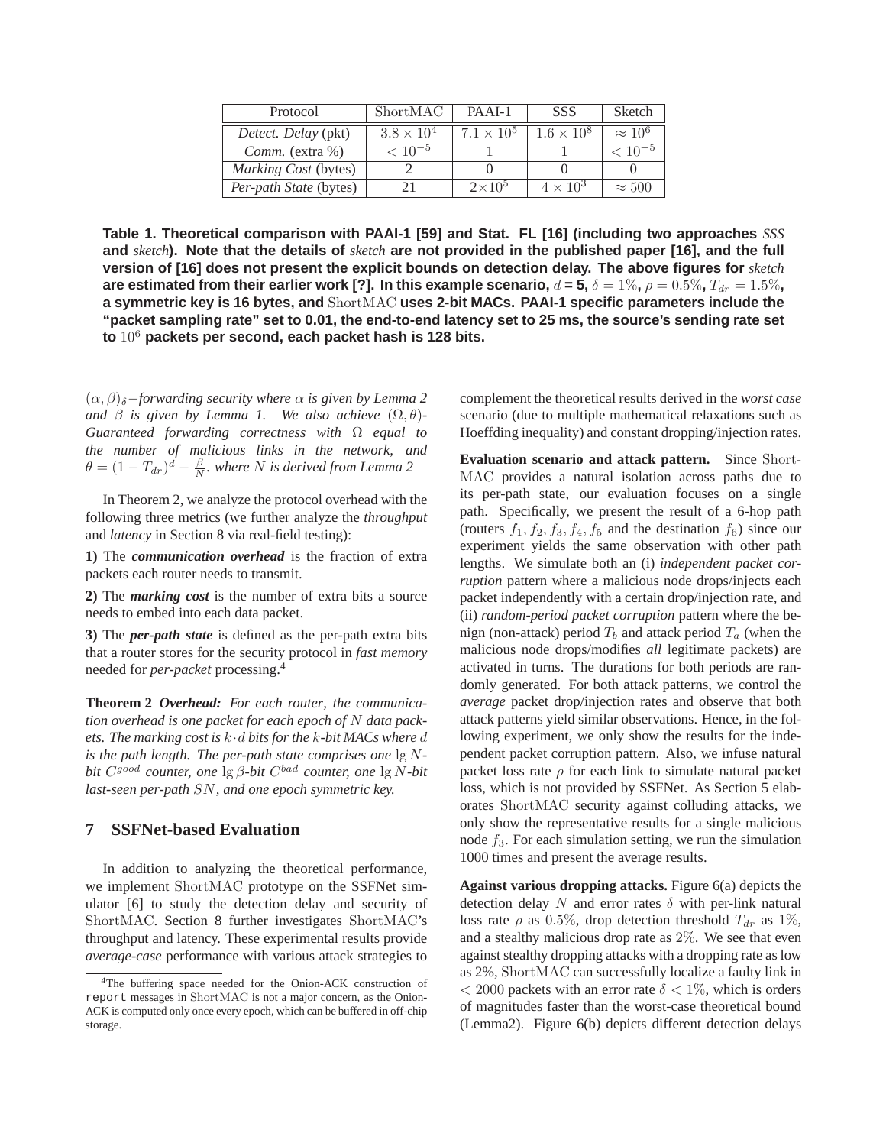| Protocol                 | ShortMAC            | PAAI-1            | <b>SSS</b>        | Sketch         |
|--------------------------|---------------------|-------------------|-------------------|----------------|
| Detect. Delay (pkt)      | $3.8 \times 10^{4}$ | $7.1 \times 10^5$ | $1.6 \times 10^8$ | $\approx 10^6$ |
| <i>Comm.</i> $(extra %)$ | $< 10^{-5}$         |                   |                   | $< 10^{-5}$    |
| Marking Cost (bytes)     |                     |                   |                   |                |
| Per-path State (bytes)   |                     | $2\times10^5$     | $4 \times 10^3$   | $\approx 500$  |

**Table 1. Theoretical comparison with PAAI-1 [59] and Stat. FL [16] (including two approaches** *SSS* **and** *sketch***). Note that the details of** *sketch* **are not provided in the published paper [16], and the full version of [16] does not present the explicit bounds on detection delay. The above figures for** *sketch* **are estimated from their earlier work [?]. In this example scenario,**  $d = 5$ **,**  $\delta = 1\%$ **,**  $\rho = 0.5\%$ **,**  $T_{dr} = 1.5\%$ **, a symmetric key is 16 bytes, and** ShortMAC **uses 2-bit MACs. PAAI-1 specific parameters include the "packet sampling rate" set to 0.01, the end-to-end latency set to 25 ms, the source's sending rate set to** 10<sup>6</sup> **packets per second, each packet hash is 128 bits.**

 $(\alpha, \beta)_{\delta}$ *-forwarding security where*  $\alpha$  *is given by Lemma 2 and*  $\beta$  *is given by Lemma 1.* We also achieve  $(\Omega, \theta)$ -*Guaranteed forwarding correctness with* Ω *equal to the number of malicious links in the network, and*  $\theta = (1 - T_{dr})^d - \frac{\beta}{N}$ . where N is derived from Lemma 2

In Theorem 2, we analyze the protocol overhead with the following three metrics (we further analyze the *throughput* and *latency* in Section 8 via real-field testing):

**1)** The *communication overhead* is the fraction of extra packets each router needs to transmit.

**2)** The *marking cost* is the number of extra bits a source needs to embed into each data packet.

**3)** The *per-path state* is defined as the per-path extra bits that a router stores for the security protocol in *fast memory* needed for *per-packet* processing.<sup>4</sup>

**Theorem 2** *Overhead: For each router, the communication overhead is one packet for each epoch of* N *data packets. The marking cost is* k·d *bits for the* k*-bit MACs where* d *is the path length. The per-path state comprises one* lg N*bit*  $C^{good}$  *counter, one* lg *β-bit*  $C^{bad}$  *counter, one* lg *N-bit last-seen per-path* SN*, and one epoch symmetric key.*

# **7 SSFNet-based Evaluation**

In addition to analyzing the theoretical performance, we implement ShortMAC prototype on the SSFNet simulator [6] to study the detection delay and security of ShortMAC. Section 8 further investigates ShortMAC's throughput and latency. These experimental results provide *average-case* performance with various attack strategies to

complement the theoretical results derived in the *worst case* scenario (due to multiple mathematical relaxations such as Hoeffding inequality) and constant dropping/injection rates.

**Evaluation scenario and attack pattern.** Since Short-MAC provides a natural isolation across paths due to its per-path state, our evaluation focuses on a single path. Specifically, we present the result of a 6-hop path (routers  $f_1, f_2, f_3, f_4, f_5$  and the destination  $f_6$ ) since our experiment yields the same observation with other path lengths. We simulate both an (i) *independent packet corruption* pattern where a malicious node drops/injects each packet independently with a certain drop/injection rate, and (ii) *random-period packet corruption* pattern where the benign (non-attack) period  $T_b$  and attack period  $T_a$  (when the malicious node drops/modifies *all* legitimate packets) are activated in turns. The durations for both periods are randomly generated. For both attack patterns, we control the *average* packet drop/injection rates and observe that both attack patterns yield similar observations. Hence, in the following experiment, we only show the results for the independent packet corruption pattern. Also, we infuse natural packet loss rate  $\rho$  for each link to simulate natural packet loss, which is not provided by SSFNet. As Section 5 elaborates ShortMAC security against colluding attacks, we only show the representative results for a single malicious node  $f_3$ . For each simulation setting, we run the simulation 1000 times and present the average results.

**Against various dropping attacks.** Figure 6(a) depicts the detection delay N and error rates  $\delta$  with per-link natural loss rate  $\rho$  as 0.5%, drop detection threshold  $T_{dr}$  as 1%, and a stealthy malicious drop rate as  $2\%$ . We see that even against stealthy dropping attacks with a dropping rate as low as 2%, ShortMAC can successfully localize a faulty link in  $<$  2000 packets with an error rate  $\delta$  < 1%, which is orders of magnitudes faster than the worst-case theoretical bound (Lemma2). Figure 6(b) depicts different detection delays

<sup>4</sup>The buffering space needed for the Onion-ACK construction of report messages in ShortMAC is not a major concern, as the Onion-ACK is computed only once every epoch, which can be buffered in off-chip storage.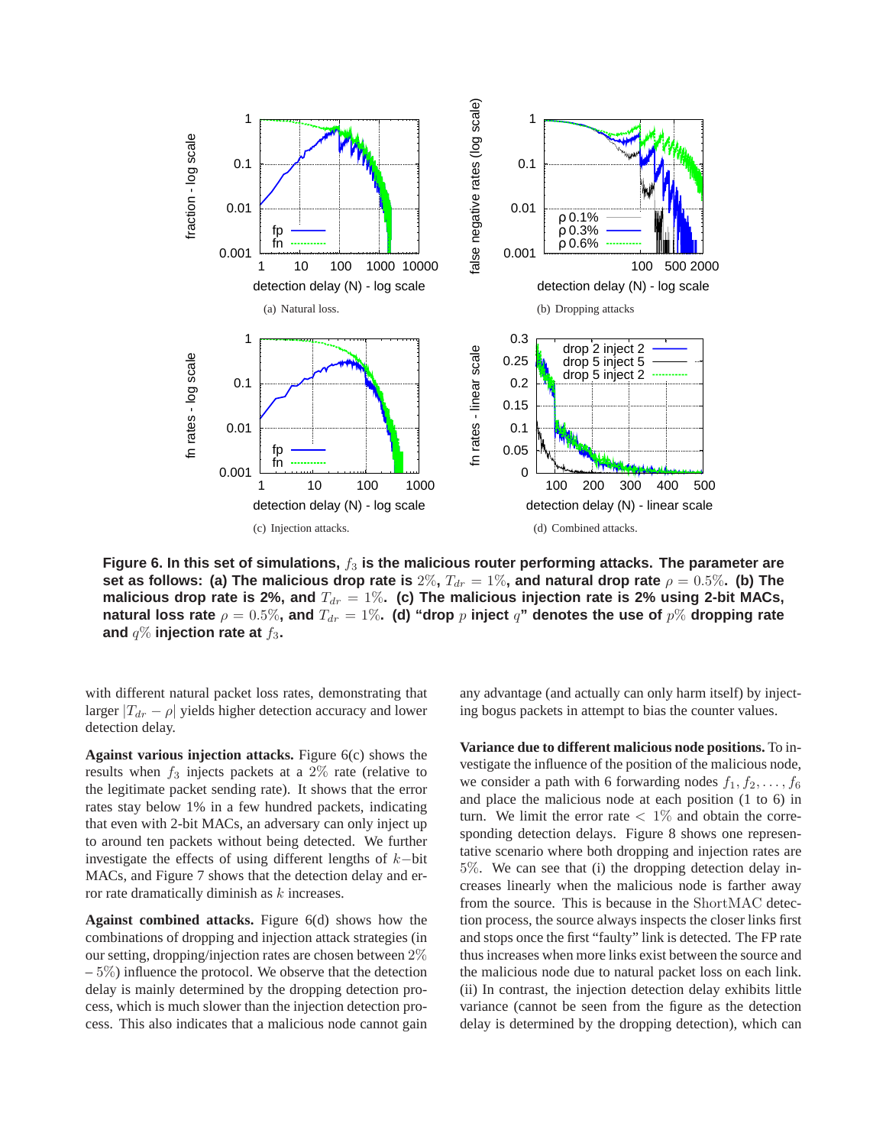

Figure 6. In this set of simulations,  $f_3$  is the malicious router performing attacks. The parameter are **set as follows: (a) The malicious drop rate is**  $2\%$ ,  $T_{dr} = 1\%$ , and natural drop rate  $\rho = 0.5\%$ . (b) The malicious drop rate is 2%, and  $T_{dr} = 1\%$ . (c) The malicious injection rate is 2% using 2-bit MACs, **natural loss rate**  $\rho = 0.5\%$ , and  $T_{dr} = 1\%$ . (d) "drop  $p$  inject  $q$ " denotes the use of  $p\%$  dropping rate and  $q\%$  injection rate at  $f_3$ .

with different natural packet loss rates, demonstrating that larger  $|T_{dr} - \rho|$  yields higher detection accuracy and lower detection delay.

**Against various injection attacks.** Figure 6(c) shows the results when  $f_3$  injects packets at a 2% rate (relative to the legitimate packet sending rate). It shows that the error rates stay below 1% in a few hundred packets, indicating that even with 2-bit MACs, an adversary can only inject up to around ten packets without being detected. We further investigate the effects of using different lengths of k−bit MACs, and Figure 7 shows that the detection delay and error rate dramatically diminish as  $k$  increases.

**Against combined attacks.** Figure 6(d) shows how the combinations of dropping and injection attack strategies (in our setting, dropping/injection rates are chosen between 2%  $-5\%$ ) influence the protocol. We observe that the detection delay is mainly determined by the dropping detection process, which is much slower than the injection detection process. This also indicates that a malicious node cannot gain any advantage (and actually can only harm itself) by injecting bogus packets in attempt to bias the counter values.

**Variance due to different malicious node positions.** To investigate the influence of the position of the malicious node, we consider a path with 6 forwarding nodes  $f_1, f_2, \ldots, f_6$ and place the malicious node at each position (1 to 6) in turn. We limit the error rate  $\langle 1 \rangle$  and obtain the corresponding detection delays. Figure 8 shows one representative scenario where both dropping and injection rates are 5%. We can see that (i) the dropping detection delay increases linearly when the malicious node is farther away from the source. This is because in the ShortMAC detection process, the source always inspects the closer links first and stops once the first "faulty" link is detected. The FP rate thus increases when more links exist between the source and the malicious node due to natural packet loss on each link. (ii) In contrast, the injection detection delay exhibits little variance (cannot be seen from the figure as the detection delay is determined by the dropping detection), which can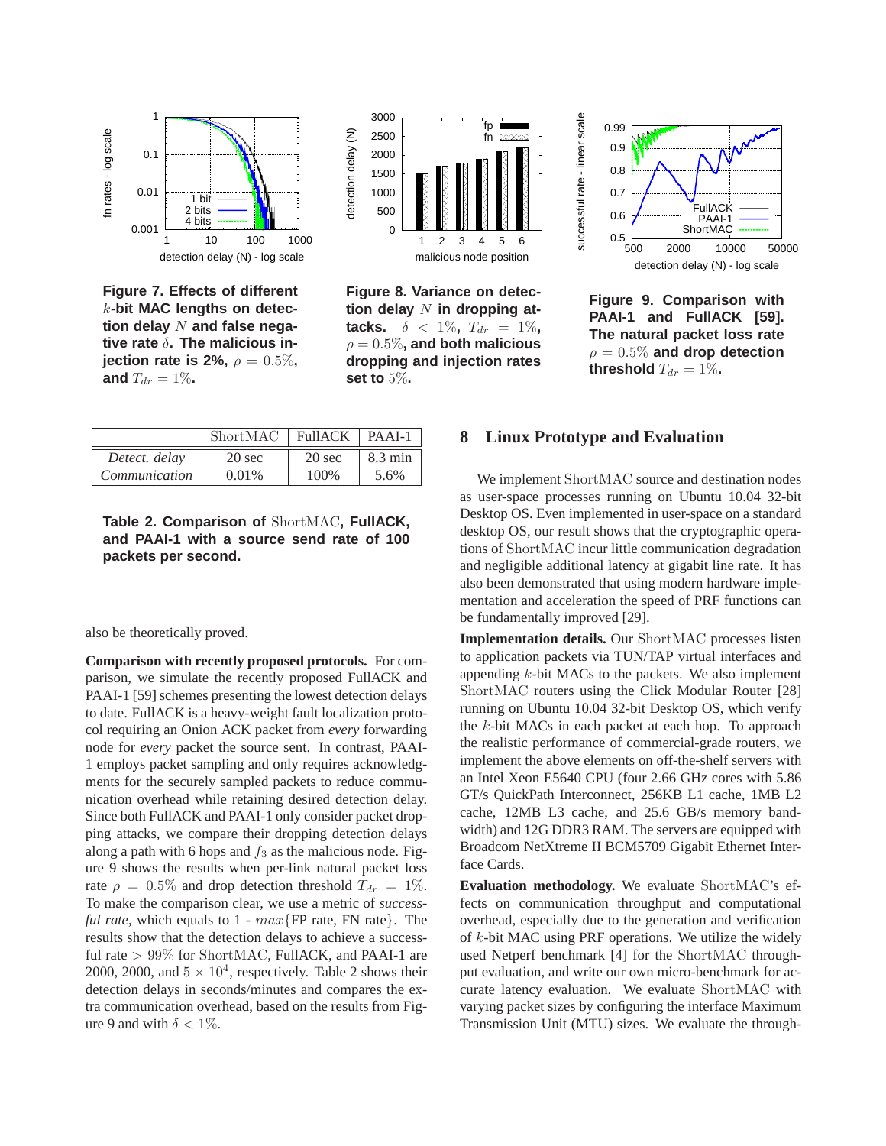

**Figure 7. Effects of different** k**-bit MAC lengths on detec**tion delay N and false nega**tive rate** δ**. The malicious injection rate is 2%,**  $\rho = 0.5\%$ , **and**  $T_{dr} = 1\%$ .



**Figure 8. Variance on detec**tion delay N in dropping at**tacks.**  $\delta$  < 1%,  $T_{dr}$  = 1%,  $\rho = 0.5\%$ , and both malicious **dropping and injection rates set to** 5%**.**



**Figure 9. Comparison with PAAI-1 and FullACK [59]. The natural packet loss rate**  $\rho = 0.5\%$  and drop detection **threshold**  $T_{dr} = 1\%$ .

|               | ShortMAC         | <b>FullACK</b>   | $PAAI-1$          |
|---------------|------------------|------------------|-------------------|
| Detect. delay | $20 \text{ sec}$ | $20 \text{ sec}$ | $8.3 \text{ min}$ |
| Communication | $0.01\%$         | 100\%            | 5.6%              |

**Table 2. Comparison of** ShortMAC**, FullACK, and PAAI-1 with a source send rate of 100 packets per second.**

also be theoretically proved.

**Comparison with recently proposed protocols.** For comparison, we simulate the recently proposed FullACK and PAAI-1 [59] schemes presenting the lowest detection delays to date. FullACK is a heavy-weight fault localization protocol requiring an Onion ACK packet from *every* forwarding node for *every* packet the source sent. In contrast, PAAI-1 employs packet sampling and only requires acknowledgments for the securely sampled packets to reduce communication overhead while retaining desired detection delay. Since both FullACK and PAAI-1 only consider packet dropping attacks, we compare their dropping detection delays along a path with 6 hops and  $f_3$  as the malicious node. Figure 9 shows the results when per-link natural packet loss rate  $\rho = 0.5\%$  and drop detection threshold  $T_{dr} = 1\%$ . To make the comparison clear, we use a metric of *successful rate*, which equals to 1 - max{FP rate, FN rate}. The results show that the detection delays to achieve a successful rate  $> 99\%$  for ShortMAC, FullACK, and PAAI-1 are 2000, 2000, and  $5 \times 10^4$ , respectively. Table 2 shows their detection delays in seconds/minutes and compares the extra communication overhead, based on the results from Figure 9 and with  $\delta < 1\%$ .

# **8 Linux Prototype and Evaluation**

We implement ShortMAC source and destination nodes as user-space processes running on Ubuntu 10.04 32-bit Desktop OS. Even implemented in user-space on a standard desktop OS, our result shows that the cryptographic operations of ShortMAC incur little communication degradation and negligible additional latency at gigabit line rate. It has also been demonstrated that using modern hardware implementation and acceleration the speed of PRF functions can be fundamentally improved [29].

**Implementation details.** Our ShortMAC processes listen to application packets via TUN/TAP virtual interfaces and appending  $k$ -bit MACs to the packets. We also implement ShortMAC routers using the Click Modular Router [28] running on Ubuntu 10.04 32-bit Desktop OS, which verify the  $k$ -bit MACs in each packet at each hop. To approach the realistic performance of commercial-grade routers, we implement the above elements on off-the-shelf servers with an Intel Xeon E5640 CPU (four 2.66 GHz cores with 5.86 GT/s QuickPath Interconnect, 256KB L1 cache, 1MB L2 cache, 12MB L3 cache, and 25.6 GB/s memory bandwidth) and 12G DDR3 RAM. The servers are equipped with Broadcom NetXtreme II BCM5709 Gigabit Ethernet Interface Cards.

**Evaluation methodology.** We evaluate ShortMAC's effects on communication throughput and computational overhead, especially due to the generation and verification of k-bit MAC using PRF operations. We utilize the widely used Netperf benchmark [4] for the ShortMAC throughput evaluation, and write our own micro-benchmark for accurate latency evaluation. We evaluate ShortMAC with varying packet sizes by configuring the interface Maximum Transmission Unit (MTU) sizes. We evaluate the through-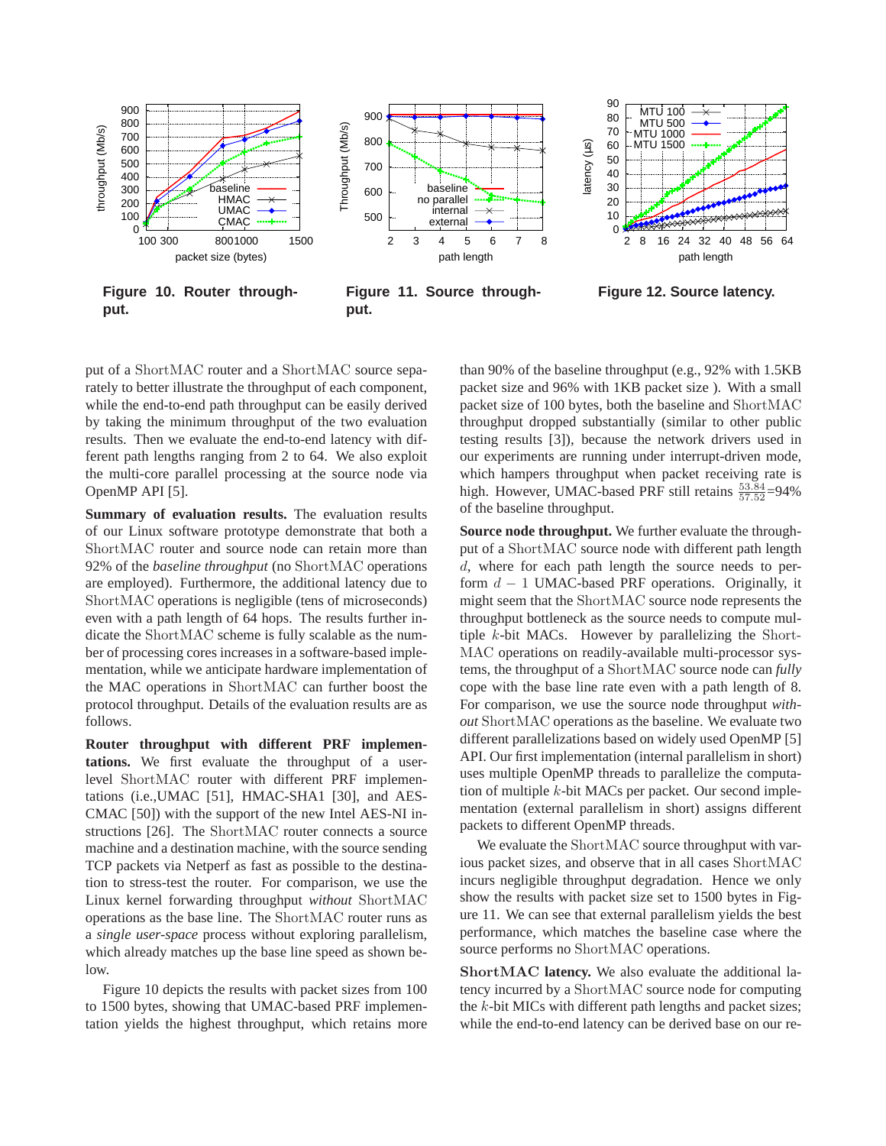

**Figure 10. Router throughput.**

**Figure 11. Source throughput.**

**Figure 12. Source latency.**

put of a ShortMAC router and a ShortMAC source separately to better illustrate the throughput of each component, while the end-to-end path throughput can be easily derived by taking the minimum throughput of the two evaluation results. Then we evaluate the end-to-end latency with different path lengths ranging from 2 to 64. We also exploit the multi-core parallel processing at the source node via OpenMP API [5].

**Summary of evaluation results.** The evaluation results of our Linux software prototype demonstrate that both a ShortMAC router and source node can retain more than 92% of the *baseline throughput* (no ShortMAC operations are employed). Furthermore, the additional latency due to ShortMAC operations is negligible (tens of microseconds) even with a path length of 64 hops. The results further indicate the ShortMAC scheme is fully scalable as the number of processing cores increases in a software-based implementation, while we anticipate hardware implementation of the MAC operations in ShortMAC can further boost the protocol throughput. Details of the evaluation results are as follows.

**Router throughput with different PRF implementations.** We first evaluate the throughput of a userlevel ShortMAC router with different PRF implementations (i.e.,UMAC [51], HMAC-SHA1 [30], and AES-CMAC [50]) with the support of the new Intel AES-NI instructions [26]. The ShortMAC router connects a source machine and a destination machine, with the source sending TCP packets via Netperf as fast as possible to the destination to stress-test the router. For comparison, we use the Linux kernel forwarding throughput *without* ShortMAC operations as the base line. The ShortMAC router runs as a *single user-space* process without exploring parallelism, which already matches up the base line speed as shown below.

Figure 10 depicts the results with packet sizes from 100 to 1500 bytes, showing that UMAC-based PRF implementation yields the highest throughput, which retains more than 90% of the baseline throughput (e.g., 92% with 1.5KB packet size and 96% with 1KB packet size ). With a small packet size of 100 bytes, both the baseline and ShortMAC throughput dropped substantially (similar to other public testing results [3]), because the network drivers used in our experiments are running under interrupt-driven mode, which hampers throughput when packet receiving rate is high. However, UMAC-based PRF still retains  $\frac{53.84}{57.52}$ =94% of the baseline throughput.

**Source node throughput.** We further evaluate the throughput of a ShortMAC source node with different path length d, where for each path length the source needs to perform  $d - 1$  UMAC-based PRF operations. Originally, it might seem that the ShortMAC source node represents the throughput bottleneck as the source needs to compute multiple k-bit MACs. However by parallelizing the Short-MAC operations on readily-available multi-processor systems, the throughput of a ShortMAC source node can *fully* cope with the base line rate even with a path length of 8. For comparison, we use the source node throughput *without* ShortMAC operations as the baseline. We evaluate two different parallelizations based on widely used OpenMP [5] API. Our first implementation (internal parallelism in short) uses multiple OpenMP threads to parallelize the computation of multiple k-bit MACs per packet. Our second implementation (external parallelism in short) assigns different packets to different OpenMP threads.

We evaluate the ShortMAC source throughput with various packet sizes, and observe that in all cases ShortMAC incurs negligible throughput degradation. Hence we only show the results with packet size set to 1500 bytes in Figure 11. We can see that external parallelism yields the best performance, which matches the baseline case where the source performs no ShortMAC operations.

ShortMAC **latency.** We also evaluate the additional latency incurred by a ShortMAC source node for computing the k-bit MICs with different path lengths and packet sizes; while the end-to-end latency can be derived base on our re-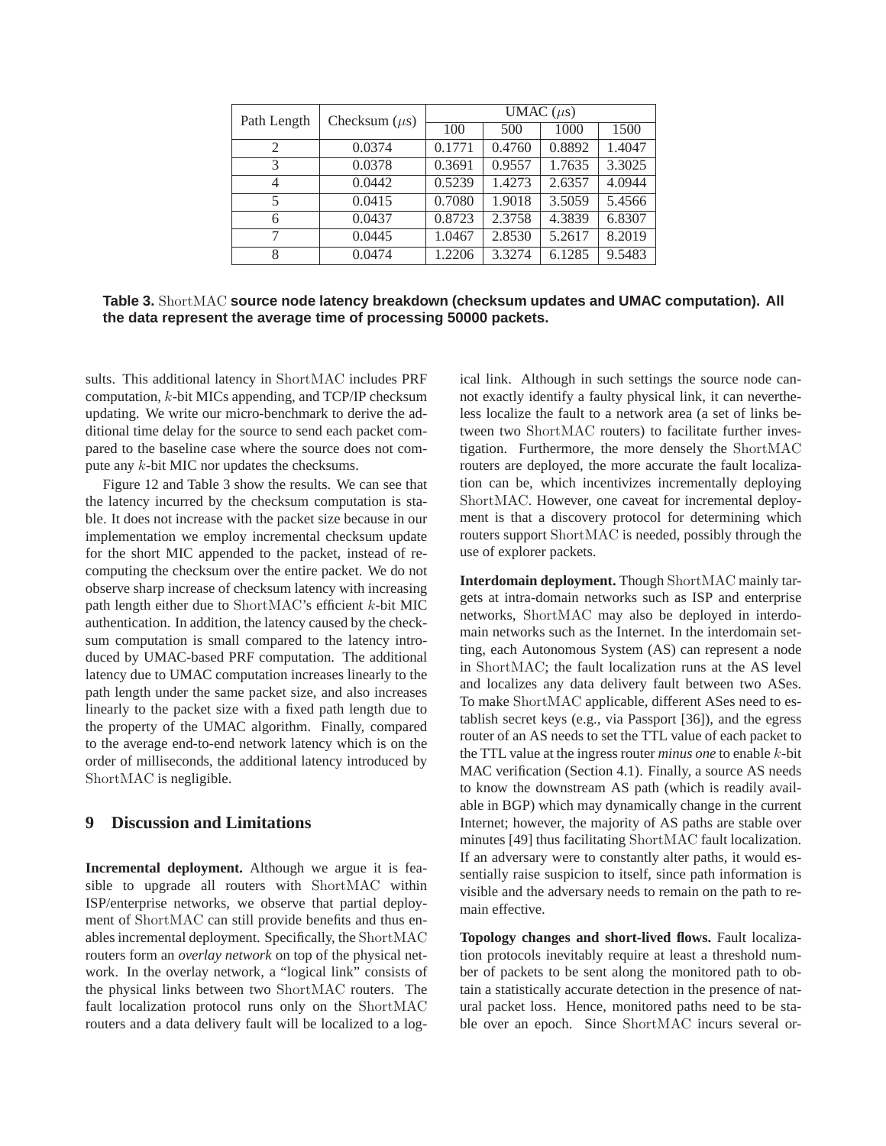| Path Length | Checksum $(\mu s)$ | UMAC $(\mu s)$ |        |        |        |
|-------------|--------------------|----------------|--------|--------|--------|
|             |                    | 100            | 500    | 1000   | 1500   |
| 2           | 0.0374             | 0.1771         | 0.4760 | 0.8892 | 1.4047 |
| 3           | 0.0378             | 0.3691         | 0.9557 | 1.7635 | 3.3025 |
| 4           | 0.0442             | 0.5239         | 1.4273 | 2.6357 | 4.0944 |
| 5           | 0.0415             | 0.7080         | 1.9018 | 3.5059 | 5.4566 |
| 6           | 0.0437             | 0.8723         | 2.3758 | 4.3839 | 6.8307 |
| 7           | 0.0445             | 1.0467         | 2.8530 | 5.2617 | 8.2019 |
| 8           | 0.0474             | 1.2206         | 3.3274 | 6.1285 | 9.5483 |

**Table 3.** ShortMAC **source node latency breakdown (checksum updates and UMAC computation). All the data represent the average time of processing 50000 packets.**

sults. This additional latency in ShortMAC includes PRF computation, k-bit MICs appending, and TCP/IP checksum updating. We write our micro-benchmark to derive the additional time delay for the source to send each packet compared to the baseline case where the source does not compute any k-bit MIC nor updates the checksums.

Figure 12 and Table 3 show the results. We can see that the latency incurred by the checksum computation is stable. It does not increase with the packet size because in our implementation we employ incremental checksum update for the short MIC appended to the packet, instead of recomputing the checksum over the entire packet. We do not observe sharp increase of checksum latency with increasing path length either due to ShortMAC's efficient  $k$ -bit MIC authentication. In addition, the latency caused by the checksum computation is small compared to the latency introduced by UMAC-based PRF computation. The additional latency due to UMAC computation increases linearly to the path length under the same packet size, and also increases linearly to the packet size with a fixed path length due to the property of the UMAC algorithm. Finally, compared to the average end-to-end network latency which is on the order of milliseconds, the additional latency introduced by ShortMAC is negligible.

### **9 Discussion and Limitations**

**Incremental deployment.** Although we argue it is feasible to upgrade all routers with ShortMAC within ISP/enterprise networks, we observe that partial deployment of ShortMAC can still provide benefits and thus enables incremental deployment. Specifically, the ShortMAC routers form an *overlay network* on top of the physical network. In the overlay network, a "logical link" consists of the physical links between two ShortMAC routers. The fault localization protocol runs only on the ShortMAC routers and a data delivery fault will be localized to a logical link. Although in such settings the source node cannot exactly identify a faulty physical link, it can nevertheless localize the fault to a network area (a set of links between two ShortMAC routers) to facilitate further investigation. Furthermore, the more densely the ShortMAC routers are deployed, the more accurate the fault localization can be, which incentivizes incrementally deploying ShortMAC. However, one caveat for incremental deployment is that a discovery protocol for determining which routers support ShortMAC is needed, possibly through the use of explorer packets.

**Interdomain deployment.** Though ShortMAC mainly targets at intra-domain networks such as ISP and enterprise networks, ShortMAC may also be deployed in interdomain networks such as the Internet. In the interdomain setting, each Autonomous System (AS) can represent a node in ShortMAC; the fault localization runs at the AS level and localizes any data delivery fault between two ASes. To make ShortMAC applicable, different ASes need to establish secret keys (e.g., via Passport [36]), and the egress router of an AS needs to set the TTL value of each packet to the TTL value at the ingress router *minus one* to enable k-bit MAC verification (Section 4.1). Finally, a source AS needs to know the downstream AS path (which is readily available in BGP) which may dynamically change in the current Internet; however, the majority of AS paths are stable over minutes [49] thus facilitating ShortMAC fault localization. If an adversary were to constantly alter paths, it would essentially raise suspicion to itself, since path information is visible and the adversary needs to remain on the path to remain effective.

**Topology changes and short-lived flows.** Fault localization protocols inevitably require at least a threshold number of packets to be sent along the monitored path to obtain a statistically accurate detection in the presence of natural packet loss. Hence, monitored paths need to be stable over an epoch. Since ShortMAC incurs several or-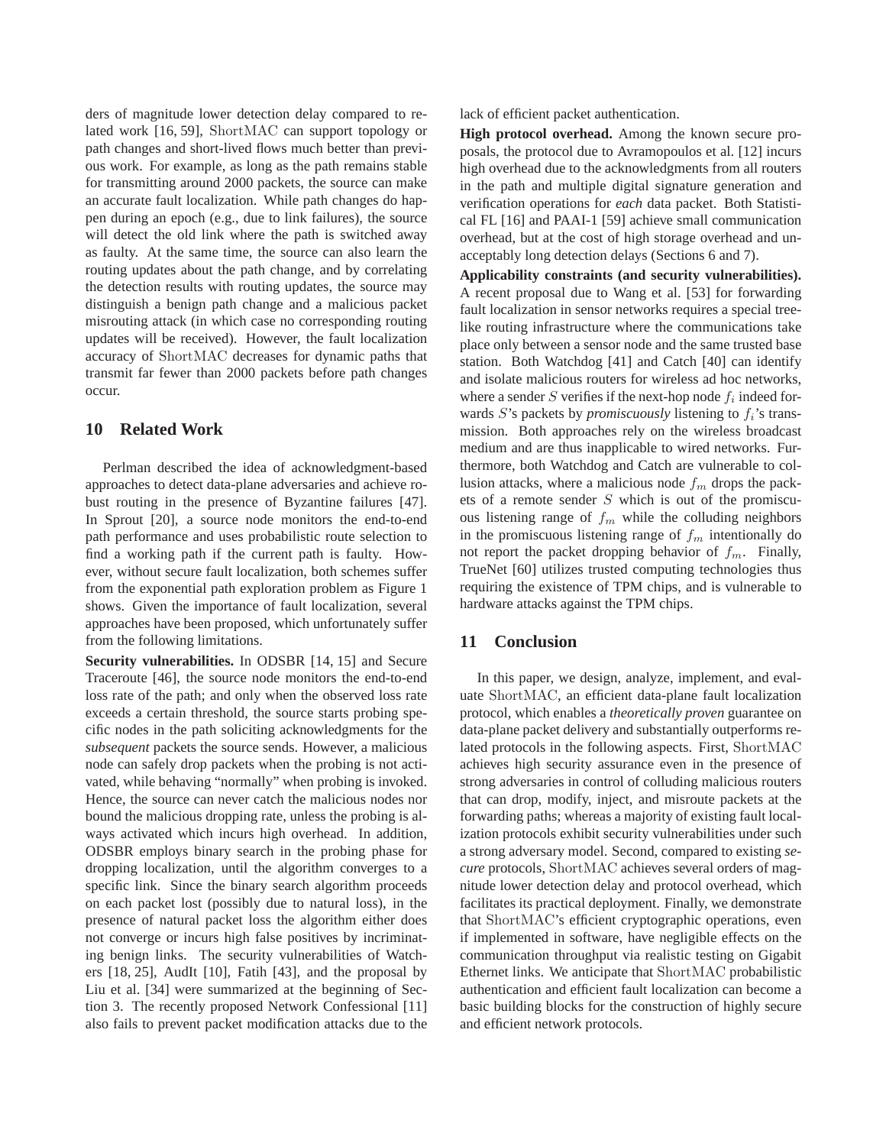ders of magnitude lower detection delay compared to related work [16, 59], ShortMAC can support topology or path changes and short-lived flows much better than previous work. For example, as long as the path remains stable for transmitting around 2000 packets, the source can make an accurate fault localization. While path changes do happen during an epoch (e.g., due to link failures), the source will detect the old link where the path is switched away as faulty. At the same time, the source can also learn the routing updates about the path change, and by correlating the detection results with routing updates, the source may distinguish a benign path change and a malicious packet misrouting attack (in which case no corresponding routing updates will be received). However, the fault localization accuracy of ShortMAC decreases for dynamic paths that transmit far fewer than 2000 packets before path changes occur.

# **10 Related Work**

Perlman described the idea of acknowledgment-based approaches to detect data-plane adversaries and achieve robust routing in the presence of Byzantine failures [47]. In Sprout [20], a source node monitors the end-to-end path performance and uses probabilistic route selection to find a working path if the current path is faulty. However, without secure fault localization, both schemes suffer from the exponential path exploration problem as Figure 1 shows. Given the importance of fault localization, several approaches have been proposed, which unfortunately suffer from the following limitations.

**Security vulnerabilities.** In ODSBR [14, 15] and Secure Traceroute [46], the source node monitors the end-to-end loss rate of the path; and only when the observed loss rate exceeds a certain threshold, the source starts probing specific nodes in the path soliciting acknowledgments for the *subsequent* packets the source sends. However, a malicious node can safely drop packets when the probing is not activated, while behaving "normally" when probing is invoked. Hence, the source can never catch the malicious nodes nor bound the malicious dropping rate, unless the probing is always activated which incurs high overhead. In addition, ODSBR employs binary search in the probing phase for dropping localization, until the algorithm converges to a specific link. Since the binary search algorithm proceeds on each packet lost (possibly due to natural loss), in the presence of natural packet loss the algorithm either does not converge or incurs high false positives by incriminating benign links. The security vulnerabilities of Watchers [18, 25], AudIt [10], Fatih [43], and the proposal by Liu et al. [34] were summarized at the beginning of Section 3. The recently proposed Network Confessional [11] also fails to prevent packet modification attacks due to the

lack of efficient packet authentication.

**High protocol overhead.** Among the known secure proposals, the protocol due to Avramopoulos et al. [12] incurs high overhead due to the acknowledgments from all routers in the path and multiple digital signature generation and verification operations for *each* data packet. Both Statistical FL [16] and PAAI-1 [59] achieve small communication overhead, but at the cost of high storage overhead and unacceptably long detection delays (Sections 6 and 7).

**Applicability constraints (and security vulnerabilities).** A recent proposal due to Wang et al. [53] for forwarding fault localization in sensor networks requires a special treelike routing infrastructure where the communications take place only between a sensor node and the same trusted base station. Both Watchdog [41] and Catch [40] can identify and isolate malicious routers for wireless ad hoc networks, where a sender  $S$  verifies if the next-hop node  $f_i$  indeed forwards  $S$ 's packets by *promiscuously* listening to  $f_i$ 's transmission. Both approaches rely on the wireless broadcast medium and are thus inapplicable to wired networks. Furthermore, both Watchdog and Catch are vulnerable to collusion attacks, where a malicious node  $f_m$  drops the packets of a remote sender  $S$  which is out of the promiscuous listening range of  $f_m$  while the colluding neighbors in the promiscuous listening range of  $f_m$  intentionally do not report the packet dropping behavior of  $f_m$ . Finally, TrueNet [60] utilizes trusted computing technologies thus requiring the existence of TPM chips, and is vulnerable to hardware attacks against the TPM chips.

# **11 Conclusion**

In this paper, we design, analyze, implement, and evaluate ShortMAC, an efficient data-plane fault localization protocol, which enables a *theoretically proven* guarantee on data-plane packet delivery and substantially outperforms related protocols in the following aspects. First, ShortMAC achieves high security assurance even in the presence of strong adversaries in control of colluding malicious routers that can drop, modify, inject, and misroute packets at the forwarding paths; whereas a majority of existing fault localization protocols exhibit security vulnerabilities under such a strong adversary model. Second, compared to existing *secure* protocols, ShortMAC achieves several orders of magnitude lower detection delay and protocol overhead, which facilitates its practical deployment. Finally, we demonstrate that ShortMAC's efficient cryptographic operations, even if implemented in software, have negligible effects on the communication throughput via realistic testing on Gigabit Ethernet links. We anticipate that ShortMAC probabilistic authentication and efficient fault localization can become a basic building blocks for the construction of highly secure and efficient network protocols.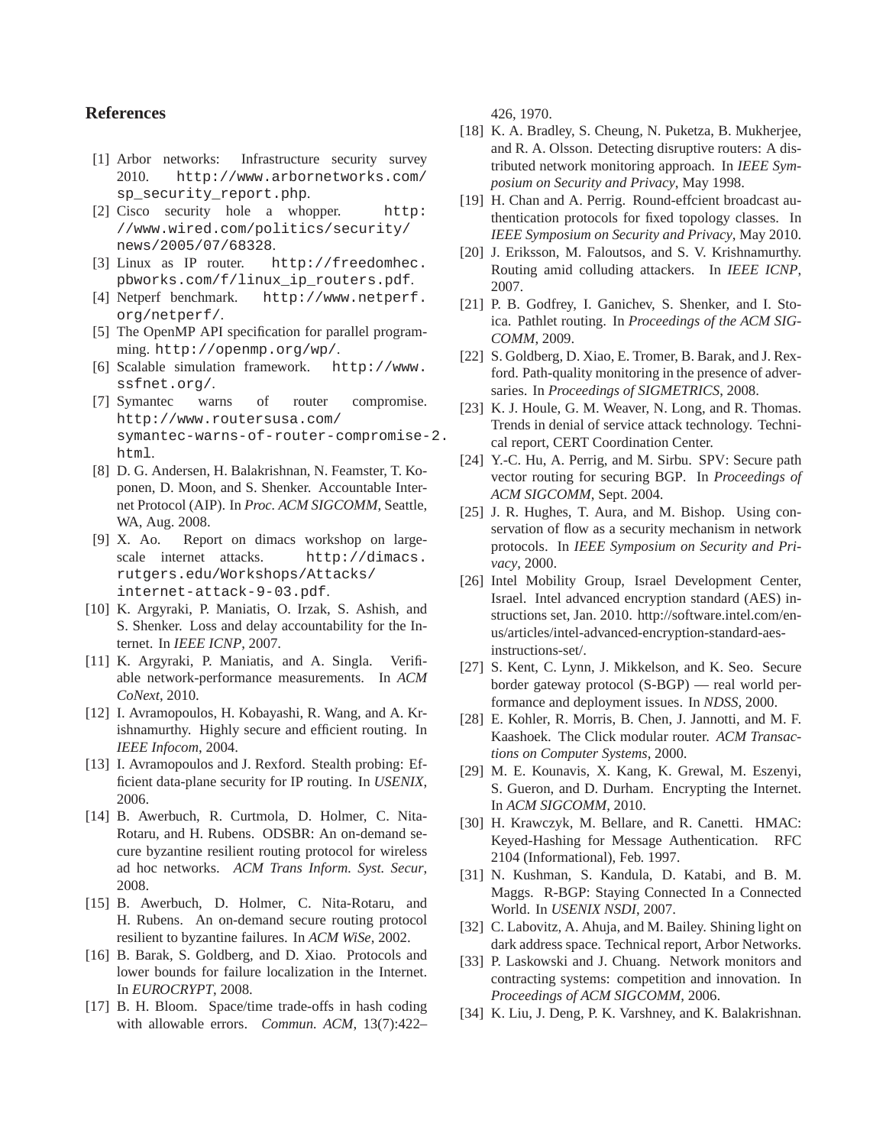# **References**

- [1] Arbor networks: Infrastructure security survey 2010. http://www.arbornetworks.com/ sp security report.php.
- [2] Cisco security hole a whopper. http: //www.wired.com/politics/security/ news/2005/07/68328.
- [3] Linux as IP router. http://freedomhec. pbworks.com/f/linux\_ip\_routers.pdf.
- [4] Netperf benchmark. http://www.netperf. org/netperf/.
- [5] The OpenMP API specification for parallel programming. http://openmp.org/wp/.
- [6] Scalable simulation framework. http://www. ssfnet.org/.
- [7] Symantec warns of router compromise. http://www.routersusa.com/ symantec-warns-of-router-compromise-2. html.
- [8] D. G. Andersen, H. Balakrishnan, N. Feamster, T. Koponen, D. Moon, and S. Shenker. Accountable Internet Protocol (AIP). In *Proc. ACM SIGCOMM*, Seattle, WA, Aug. 2008.
- [9] X. Ao. Report on dimacs workshop on largescale internet attacks. http://dimacs. rutgers.edu/Workshops/Attacks/ internet-attack-9-03.pdf.
- [10] K. Argyraki, P. Maniatis, O. Irzak, S. Ashish, and S. Shenker. Loss and delay accountability for the Internet. In *IEEE ICNP*, 2007.
- [11] K. Argyraki, P. Maniatis, and A. Singla. Verifiable network-performance measurements. In *ACM CoNext*, 2010.
- [12] I. Avramopoulos, H. Kobayashi, R. Wang, and A. Krishnamurthy. Highly secure and efficient routing. In *IEEE Infocom*, 2004.
- [13] I. Avramopoulos and J. Rexford. Stealth probing: Efficient data-plane security for IP routing. In *USENIX*, 2006.
- [14] B. Awerbuch, R. Curtmola, D. Holmer, C. Nita-Rotaru, and H. Rubens. ODSBR: An on-demand secure byzantine resilient routing protocol for wireless ad hoc networks. *ACM Trans Inform. Syst. Secur*, 2008.
- [15] B. Awerbuch, D. Holmer, C. Nita-Rotaru, and H. Rubens. An on-demand secure routing protocol resilient to byzantine failures. In *ACM WiSe*, 2002.
- [16] B. Barak, S. Goldberg, and D. Xiao. Protocols and lower bounds for failure localization in the Internet. In *EUROCRYPT*, 2008.
- [17] B. H. Bloom. Space/time trade-offs in hash coding with allowable errors. *Commun. ACM*, 13(7):422–

426, 1970.

- [18] K. A. Bradley, S. Cheung, N. Puketza, B. Mukherjee, and R. A. Olsson. Detecting disruptive routers: A distributed network monitoring approach. In *IEEE Symposium on Security and Privacy*, May 1998.
- [19] H. Chan and A. Perrig. Round-effcient broadcast authentication protocols for fixed topology classes. In *IEEE Symposium on Security and Privacy*, May 2010.
- [20] J. Eriksson, M. Faloutsos, and S. V. Krishnamurthy. Routing amid colluding attackers. In *IEEE ICNP*, 2007.
- [21] P. B. Godfrey, I. Ganichev, S. Shenker, and I. Stoica. Pathlet routing. In *Proceedings of the ACM SIG-COMM*, 2009.
- [22] S. Goldberg, D. Xiao, E. Tromer, B. Barak, and J. Rexford. Path-quality monitoring in the presence of adversaries. In *Proceedings of SIGMETRICS*, 2008.
- [23] K. J. Houle, G. M. Weaver, N. Long, and R. Thomas. Trends in denial of service attack technology. Technical report, CERT Coordination Center.
- [24] Y.-C. Hu, A. Perrig, and M. Sirbu. SPV: Secure path vector routing for securing BGP. In *Proceedings of ACM SIGCOMM*, Sept. 2004.
- [25] J. R. Hughes, T. Aura, and M. Bishop. Using conservation of flow as a security mechanism in network protocols. In *IEEE Symposium on Security and Privacy*, 2000.
- [26] Intel Mobility Group, Israel Development Center, Israel. Intel advanced encryption standard (AES) instructions set, Jan. 2010. http://software.intel.com/enus/articles/intel-advanced-encryption-standard-aesinstructions-set/.
- [27] S. Kent, C. Lynn, J. Mikkelson, and K. Seo. Secure border gateway protocol (S-BGP) — real world performance and deployment issues. In *NDSS*, 2000.
- [28] E. Kohler, R. Morris, B. Chen, J. Jannotti, and M. F. Kaashoek. The Click modular router. *ACM Transactions on Computer Systems*, 2000.
- [29] M. E. Kounavis, X. Kang, K. Grewal, M. Eszenyi, S. Gueron, and D. Durham. Encrypting the Internet. In *ACM SIGCOMM*, 2010.
- [30] H. Krawczyk, M. Bellare, and R. Canetti. HMAC: Keyed-Hashing for Message Authentication. RFC 2104 (Informational), Feb. 1997.
- [31] N. Kushman, S. Kandula, D. Katabi, and B. M. Maggs. R-BGP: Staying Connected In a Connected World. In *USENIX NSDI*, 2007.
- [32] C. Labovitz, A. Ahuja, and M. Bailey. Shining light on dark address space. Technical report, Arbor Networks.
- [33] P. Laskowski and J. Chuang. Network monitors and contracting systems: competition and innovation. In *Proceedings of ACM SIGCOMM*, 2006.
- [34] K. Liu, J. Deng, P. K. Varshney, and K. Balakrishnan.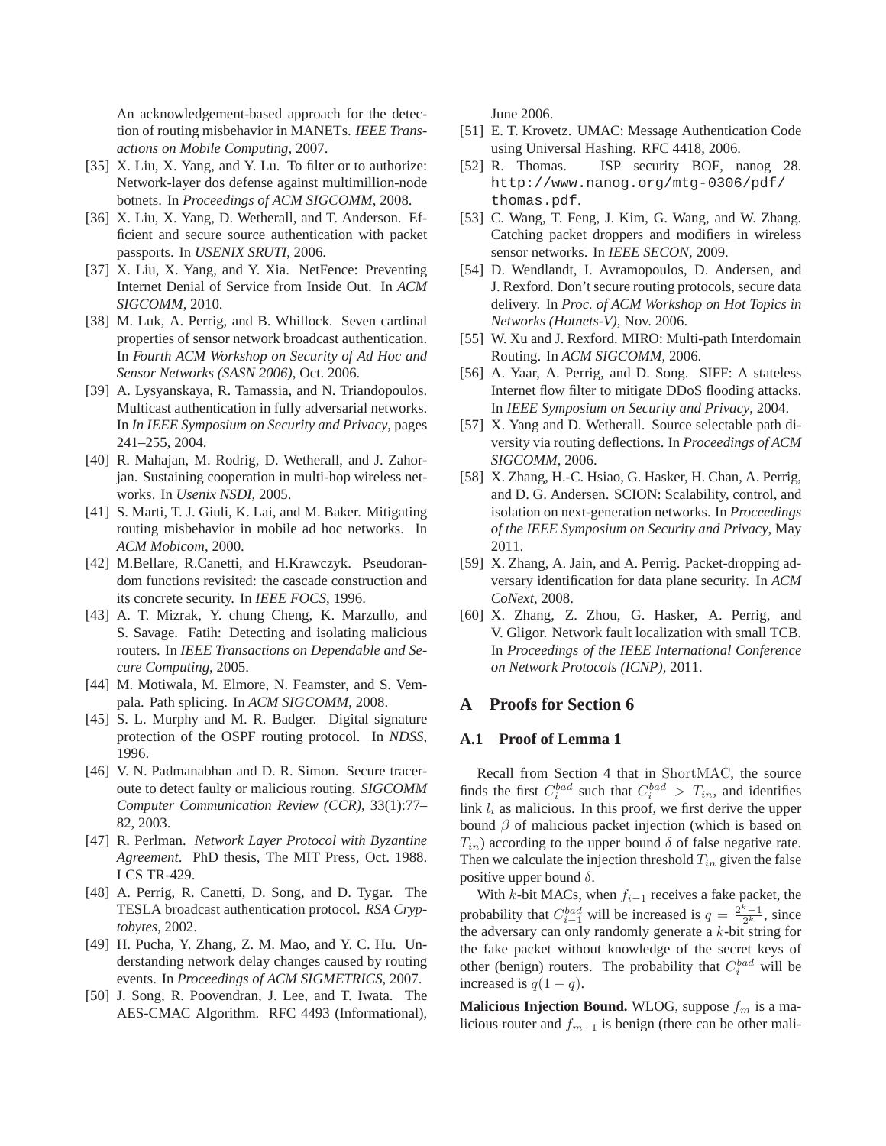An acknowledgement-based approach for the detection of routing misbehavior in MANETs. *IEEE Transactions on Mobile Computing*, 2007.

- [35] X. Liu, X. Yang, and Y. Lu. To filter or to authorize: Network-layer dos defense against multimillion-node botnets. In *Proceedings of ACM SIGCOMM*, 2008.
- [36] X. Liu, X. Yang, D. Wetherall, and T. Anderson. Efficient and secure source authentication with packet passports. In *USENIX SRUTI*, 2006.
- [37] X. Liu, X. Yang, and Y. Xia. NetFence: Preventing Internet Denial of Service from Inside Out. In *ACM SIGCOMM*, 2010.
- [38] M. Luk, A. Perrig, and B. Whillock. Seven cardinal properties of sensor network broadcast authentication. In *Fourth ACM Workshop on Security of Ad Hoc and Sensor Networks (SASN 2006)*, Oct. 2006.
- [39] A. Lysyanskaya, R. Tamassia, and N. Triandopoulos. Multicast authentication in fully adversarial networks. In *In IEEE Symposium on Security and Privacy*, pages 241–255, 2004.
- [40] R. Mahajan, M. Rodrig, D. Wetherall, and J. Zahorjan. Sustaining cooperation in multi-hop wireless networks. In *Usenix NSDI*, 2005.
- [41] S. Marti, T. J. Giuli, K. Lai, and M. Baker. Mitigating routing misbehavior in mobile ad hoc networks. In *ACM Mobicom*, 2000.
- [42] M.Bellare, R.Canetti, and H.Krawczyk. Pseudorandom functions revisited: the cascade construction and its concrete security. In *IEEE FOCS*, 1996.
- [43] A. T. Mizrak, Y. chung Cheng, K. Marzullo, and S. Savage. Fatih: Detecting and isolating malicious routers. In *IEEE Transactions on Dependable and Secure Computing*, 2005.
- [44] M. Motiwala, M. Elmore, N. Feamster, and S. Vempala. Path splicing. In *ACM SIGCOMM*, 2008.
- [45] S. L. Murphy and M. R. Badger. Digital signature protection of the OSPF routing protocol. In *NDSS*, 1996.
- [46] V. N. Padmanabhan and D. R. Simon. Secure traceroute to detect faulty or malicious routing. *SIGCOMM Computer Communication Review (CCR)*, 33(1):77– 82, 2003.
- [47] R. Perlman. *Network Layer Protocol with Byzantine Agreement*. PhD thesis, The MIT Press, Oct. 1988. LCS TR-429.
- [48] A. Perrig, R. Canetti, D. Song, and D. Tygar. The TESLA broadcast authentication protocol. *RSA Cryptobytes*, 2002.
- [49] H. Pucha, Y. Zhang, Z. M. Mao, and Y. C. Hu. Understanding network delay changes caused by routing events. In *Proceedings of ACM SIGMETRICS*, 2007.
- [50] J. Song, R. Poovendran, J. Lee, and T. Iwata. The AES-CMAC Algorithm. RFC 4493 (Informational),

June 2006.

- [51] E. T. Krovetz. UMAC: Message Authentication Code using Universal Hashing. RFC 4418, 2006.
- [52] R. Thomas. ISP security BOF, nanog 28. http://www.nanog.org/mtg-0306/pdf/ thomas.pdf.
- [53] C. Wang, T. Feng, J. Kim, G. Wang, and W. Zhang. Catching packet droppers and modifiers in wireless sensor networks. In *IEEE SECON*, 2009.
- [54] D. Wendlandt, I. Avramopoulos, D. Andersen, and J. Rexford. Don't secure routing protocols, secure data delivery. In *Proc. of ACM Workshop on Hot Topics in Networks (Hotnets-V)*, Nov. 2006.
- [55] W. Xu and J. Rexford. MIRO: Multi-path Interdomain Routing. In *ACM SIGCOMM*, 2006.
- [56] A. Yaar, A. Perrig, and D. Song. SIFF: A stateless Internet flow filter to mitigate DDoS flooding attacks. In *IEEE Symposium on Security and Privacy*, 2004.
- [57] X. Yang and D. Wetherall. Source selectable path diversity via routing deflections. In *Proceedings of ACM SIGCOMM*, 2006.
- [58] X. Zhang, H.-C. Hsiao, G. Hasker, H. Chan, A. Perrig, and D. G. Andersen. SCION: Scalability, control, and isolation on next-generation networks. In *Proceedings of the IEEE Symposium on Security and Privacy*, May 2011.
- [59] X. Zhang, A. Jain, and A. Perrig. Packet-dropping adversary identification for data plane security. In *ACM CoNext*, 2008.
- [60] X. Zhang, Z. Zhou, G. Hasker, A. Perrig, and V. Gligor. Network fault localization with small TCB. In *Proceedings of the IEEE International Conference on Network Protocols (ICNP)*, 2011.

### **A Proofs for Section 6**

### **A.1 Proof of Lemma 1**

Recall from Section 4 that in ShortMAC, the source finds the first  $C_i^{bad}$  such that  $C_i^{bad} > T_{in}$ , and identifies link  $l_i$  as malicious. In this proof, we first derive the upper bound  $\beta$  of malicious packet injection (which is based on  $T_{in}$ ) according to the upper bound  $\delta$  of false negative rate. Then we calculate the injection threshold  $T_{in}$  given the false positive upper bound  $\delta$ .

With k-bit MACs, when  $f_{i-1}$  receives a fake packet, the probability that  $C_{i-1}^{bad}$  will be increased is  $q = \frac{2^k - 1}{2^k}$ , since the adversary can only randomly generate a  $k$ -bit string for the fake packet without knowledge of the secret keys of other (benign) routers. The probability that  $C_i^{bad}$  will be increased is  $q(1 - q)$ .

**Malicious Injection Bound.** WLOG, suppose  $f_m$  is a malicious router and  $f_{m+1}$  is benign (there can be other mali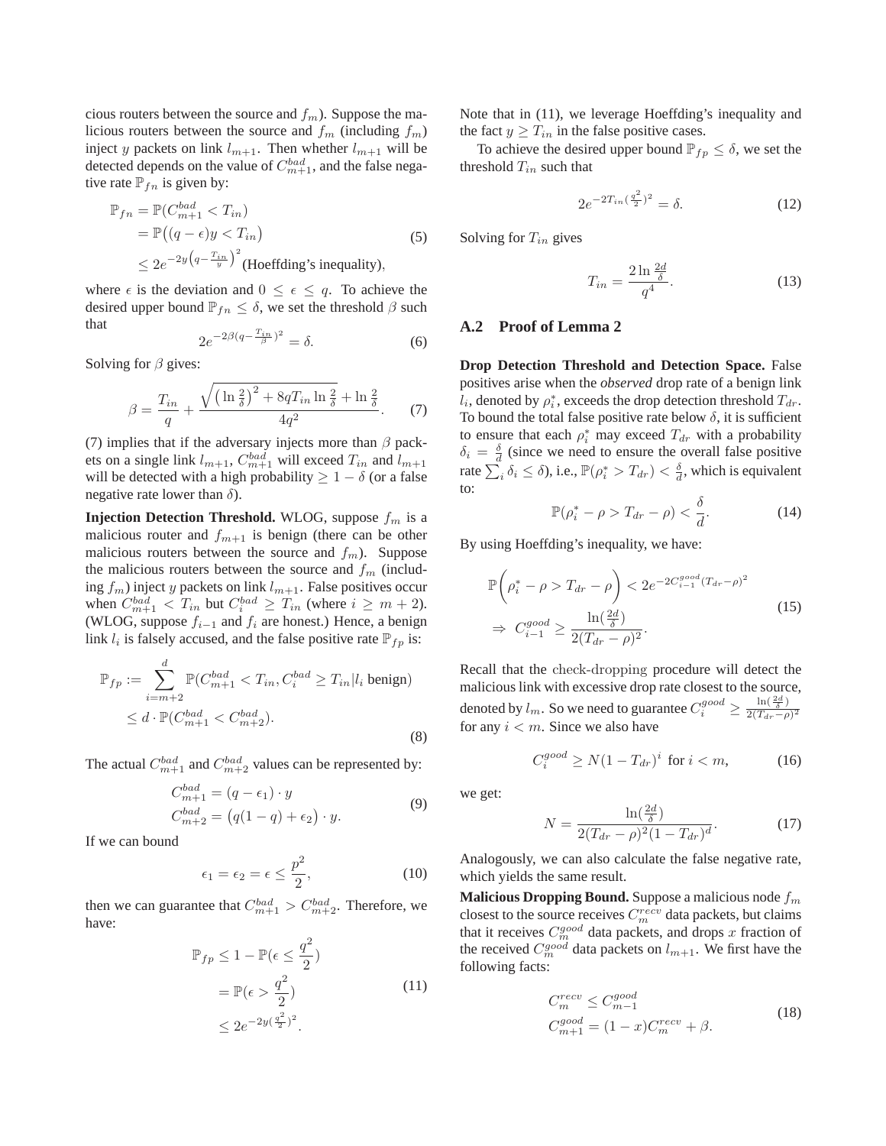cious routers between the source and  $f_m$ ). Suppose the malicious routers between the source and  $f_m$  (including  $f_m$ ) inject y packets on link  $l_{m+1}$ . Then whether  $l_{m+1}$  will be detected depends on the value of  $C_{m+1}^{bad}$ , and the false negative rate  $\mathbb{P}_{fn}$  is given by:

$$
\mathbb{P}_{fn} = \mathbb{P}(C_{m+1}^{bad} < T_{in})
$$
\n
$$
= \mathbb{P}\left((q - \epsilon)y < T_{in}\right)
$$
\n
$$
\leq 2e^{-2y\left(q - \frac{T_{in}}{y}\right)^2}
$$
\n(Hoeffding's inequality),\n
$$
(5)
$$

where  $\epsilon$  is the deviation and  $0 \leq \epsilon \leq q$ . To achieve the desired upper bound  $\mathbb{P}_{fn} \leq \delta$ , we set the threshold  $\beta$  such that

$$
2e^{-2\beta(q-\frac{T_{in}}{\beta})^2} = \delta. \tag{6}
$$

Solving for  $\beta$  gives:

$$
\beta = \frac{T_{in}}{q} + \frac{\sqrt{(\ln \frac{2}{\delta})^2 + 8qT_{in} \ln \frac{2}{\delta}} + \ln \frac{2}{\delta}}{4q^2}.
$$
 (7)

(7) implies that if the adversary injects more than  $\beta$  packets on a single link  $l_{m+1}$ ,  $C_{m+1}^{bad}$  will exceed  $T_{in}$  and  $l_{m+1}$ will be detected with a high probability  $\geq 1 - \delta$  (or a false negative rate lower than  $\delta$ ).

**Injection Detection Threshold.** WLOG, suppose  $f_m$  is a malicious router and  $f_{m+1}$  is benign (there can be other malicious routers between the source and  $f_m$ ). Suppose the malicious routers between the source and  $f_m$  (including  $f_m$ ) inject y packets on link  $l_{m+1}$ . False positives occur when  $C_{m+1}^{bad} < T_{in}$  but  $C_i^{bad} \ge T_{in}$  (where  $i \ge m+2$ ). (WLOG, suppose  $f_{i-1}$  and  $f_i$  are honest.) Hence, a benign link  $l_i$  is falsely accused, and the false positive rate  $\mathbb{P}_{fp}$  is:

$$
\mathbb{P}_{fp} := \sum_{i=m+2}^{d} \mathbb{P}(C_{m+1}^{bad} < T_{in}, C_i^{bad} \ge T_{in} | l_i \text{ benign})
$$
\n
$$
\le d \cdot \mathbb{P}(C_{m+1}^{bad} < C_{m+2}^{bad}). \tag{8}
$$

The actual  $C_{m+1}^{bad}$  and  $C_{m+2}^{bad}$  values can be represented by:

$$
C_{m+1}^{bad} = (q - \epsilon_1) \cdot y
$$
  
\n
$$
C_{m+2}^{bad} = (q(1-q) + \epsilon_2) \cdot y.
$$
\n(9)

If we can bound

$$
\epsilon_1 = \epsilon_2 = \epsilon \le \frac{p^2}{2},\tag{10}
$$

then we can guarantee that  $C_{m+1}^{bad} > C_{m+2}^{bad}$ . Therefore, we have:

$$
\mathbb{P}_{fp} \le 1 - \mathbb{P}(\epsilon \le \frac{q^2}{2})
$$
  
=  $\mathbb{P}(\epsilon > \frac{q^2}{2})$  (11)  
 $\le 2e^{-2y(\frac{q^2}{2})^2}.$ 

Note that in (11), we leverage Hoeffding's inequality and the fact  $y \geq T_{in}$  in the false positive cases.

To achieve the desired upper bound  $\mathbb{P}_{fp} \leq \delta$ , we set the threshold  $T_{in}$  such that

$$
2e^{-2T_{in}(\frac{q^2}{2})^2} = \delta.
$$
 (12)

Solving for  $T_{in}$  gives

$$
T_{in} = \frac{2\ln\frac{2d}{\delta}}{q^4}.\tag{13}
$$

### **A.2 Proof of Lemma 2**

**Drop Detection Threshold and Detection Space.** False positives arise when the *observed* drop rate of a benign link  $\hat{l}_i$ , denoted by  $\rho_i^*$ , exceeds the drop detection threshold  $T_{dr}$ . To bound the total false positive rate below  $\delta$ , it is sufficient to ensure that each  $\rho_i^*$  may exceed  $T_{dr}$  with a probability  $\delta_i = \frac{\delta}{d}$  (since we need to ensure the overall false positive rate  $\sum_{i}^{s} \delta_i \leq \delta$ ), i.e.,  $\mathbb{P}(\rho_i^* > T_{dr}) < \frac{\delta}{d}$ , which is equivalent to:

$$
\mathbb{P}(\rho_i^* - \rho > T_{dr} - \rho) < \frac{\delta}{d}.\tag{14}
$$

By using Hoeffding's inequality, we have:

$$
\mathbb{P}\left(\rho_i^* - \rho > T_{dr} - \rho\right) < 2e^{-2C_{i-1}^{good}(T_{dr} - \rho)^2} \\
\Rightarrow C_{i-1}^{good} \ge \frac{\ln\left(\frac{2d}{\delta}\right)}{2(T_{dr} - \rho)^2}.\n\tag{15}
$$

Recall that the check-dropping procedure will detect the malicious link with excessive drop rate closest to the source, denoted by  $l_m$ . So we need to guarantee  $C_i^{good} \ge \frac{\ln(\frac{2d}{\delta})}{2(T_{dr}-\rho)^2}$ for any  $i < m$ . Since we also have

$$
C_i^{good} \ge N(1 - T_{dr})^i \text{ for } i < m,\tag{16}
$$

we get:

$$
N = \frac{\ln(\frac{2d}{\delta})}{2(T_{dr} - \rho)^2 (1 - T_{dr})^d}.
$$
 (17)

Analogously, we can also calculate the false negative rate, which yields the same result.

**Malicious Dropping Bound.** Suppose a malicious node  $f_m$ closest to the source receives  $C_m^{recv}$  data packets, but claims that it receives  $C_{m}^{good}$  data packets, and drops x fraction of the received  $C_m^{good}$  data packets on  $l_{m+1}$ . We first have the following facts:

$$
C_m^{recv} \le C_{m-1}^{good}
$$
  
\n
$$
C_{m+1}^{good} = (1-x)C_m^{recv} + \beta.
$$
\n(18)